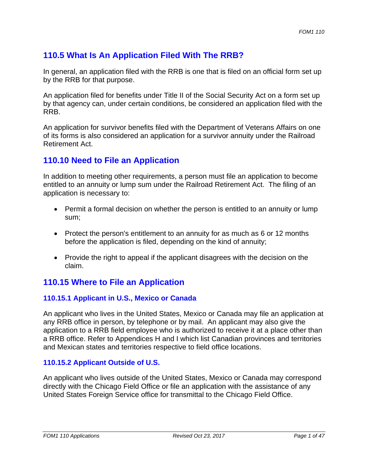# **110.5 What Is An Application Filed With The RRB?**

In general, an application filed with the RRB is one that is filed on an official form set up by the RRB for that purpose.

An application filed for benefits under Title II of the Social Security Act on a form set up by that agency can, under certain conditions, be considered an application filed with the RRB.

An application for survivor benefits filed with the Department of Veterans Affairs on one of its forms is also considered an application for a survivor annuity under the Railroad Retirement Act.

## **110.10 Need to File an Application**

In addition to meeting other requirements, a person must file an application to become entitled to an annuity or lump sum under the Railroad Retirement Act. The filing of an application is necessary to:

- Permit a formal decision on whether the person is entitled to an annuity or lump sum;
- Protect the person's entitlement to an annuity for as much as 6 or 12 months before the application is filed, depending on the kind of annuity;
- Provide the right to appeal if the applicant disagrees with the decision on the claim.

## **110.15 Where to File an Application**

## **110.15.1 Applicant in U.S., Mexico or Canada**

 and Mexican states and territories respective to field office locations. An applicant who lives in the United States, Mexico or Canada may file an application at any RRB office in person, by telephone or by mail. An applicant may also give the application to a RRB field employee who is authorized to receive it at a place other than a RRB office. Refer to Appendices H and I which list Canadian provinces and territories

## **110.15.2 Applicant Outside of U.S.**

An applicant who lives outside of the United States, Mexico or Canada may correspond directly with the Chicago Field Office or file an application with the assistance of any United States Foreign Service office for transmittal to the Chicago Field Office.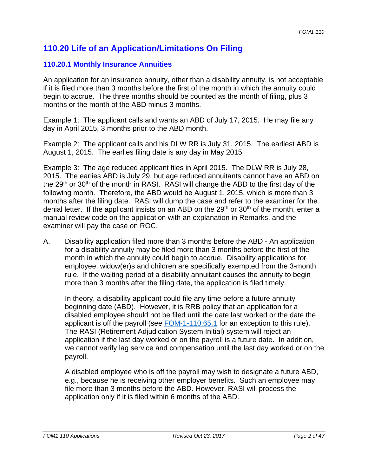## **110.20 Life of an Application/Limitations On Filing**

## **110.20.1 Monthly Insurance Annuities**

An application for an insurance annuity, other than a disability annuity, is not acceptable if it is filed more than 3 months before the first of the month in which the annuity could begin to accrue. The three months should be counted as the month of filing, plus 3 months or the month of the ABD minus 3 months.

Example 1: The applicant calls and wants an ABD of July 17, 2015. He may file any day in April 2015, 3 months prior to the ABD month.

Example 2: The applicant calls and his DLW RR is July 31, 2015. The earliest ABD is August 1, 2015. The earlies filing date is any day in May 2015

Example 3: The age reduced applicant files in April 2015. The DLW RR is July 28, 2015. The earlies ABD is July 29, but age reduced annuitants cannot have an ABD on the 29<sup>th</sup> or 30<sup>th</sup> of the month in RASI. RASI will change the ABD to the first day of the following month. Therefore, the ABD would be August 1, 2015, which is more than 3 months after the filing date. RASI will dump the case and refer to the examiner for the denial letter. If the applicant insists on an ABD on the  $29<sup>th</sup>$  or  $30<sup>th</sup>$  of the month, enter a manual review code on the application with an explanation in Remarks, and the examiner will pay the case on ROC.

A. Disability application filed more than 3 months before the ABD - An application for a disability annuity may be filed more than 3 months before the first of the month in which the annuity could begin to accrue. Disability applications for employee, widow(er)s and children are specifically exempted from the 3-month rule. If the waiting period of a disability annuitant causes the annuity to begin more than 3 months after the filing date, the application is filed timely.

In theory, a disability applicant could file any time before a future annuity beginning date (ABD). However, it is RRB policy that an application for a disabled employee should not be filed until the date last worked or the date the applicant is off the payroll (see **FOM-1-110.65.1** for an exception to this rule). The RASI (Retirement Adjudication System Initial) system will reject an application if the last day worked or on the payroll is a future date. In addition, we cannot verify lag service and compensation until the last day worked or on the payroll.

A disabled employee who is off the payroll may wish to designate a future ABD, e.g., because he is receiving other employer benefits. Such an employee may file more than 3 months before the ABD. However, RASI will process the application only if it is filed within 6 months of the ABD.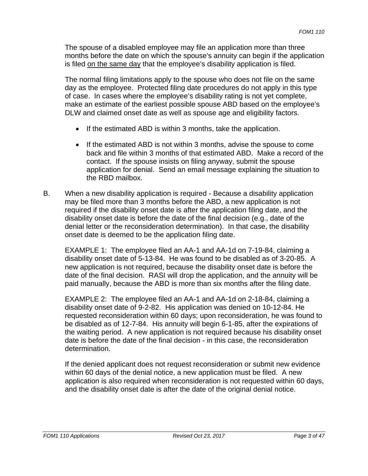The spouse of a disabled employee may file an application more than three months before the date on which the spouse's annuity can begin if the application is filed on the same day that the employee's disability application is filed.

The normal filing limitations apply to the spouse who does not file on the same day as the employee. Protected filing date procedures do not apply in this type of case. In cases where the employee's disability rating is not yet complete, make an estimate of the earliest possible spouse ABD based on the employee's DLW and claimed onset date as well as spouse age and eligibility factors.

- If the estimated ABD is within 3 months, take the application.
- If the estimated ABD is not within 3 months, advise the spouse to come back and file within 3 months of that estimated ABD. Make a record of the contact. If the spouse insists on filing anyway, submit the spouse application for denial. Send an email message explaining the situation to the RBD mailbox.
- B. When a new disability application is required Because a disability application may be filed more than 3 months before the ABD, a new application is not required if the disability onset date is after the application filing date, and the disability onset date is before the date of the final decision (e.g., date of the denial letter or the reconsideration determination). In that case, the disability onset date is deemed to be the application filing date.

EXAMPLE 1: The employee filed an AA-1 and AA-1d on 7-19-84, claiming a disability onset date of 5-13-84. He was found to be disabled as of 3-20-85. A new application is not required, because the disability onset date is before the date of the final decision. RASI will drop the application, and the annuity will be paid manually, because the ABD is more than six months after the filing date.

EXAMPLE 2: The employee filed an AA-1 and AA-1d on 2-18-84, claiming a disability onset date of 9-2-82. His application was denied on 10-12-84. He requested reconsideration within 60 days; upon reconsideration, he was found to be disabled as of 12-7-84. His annuity will begin 6-1-85, after the expirations of the waiting period. A new application is not required because his disability onset date is before the date of the final decision - in this case, the reconsideration determination.

If the denied applicant does not request reconsideration or submit new evidence within 60 days of the denial notice, a new application must be filed. A new application is also required when reconsideration is not requested within 60 days, and the disability onset date is after the date of the original denial notice.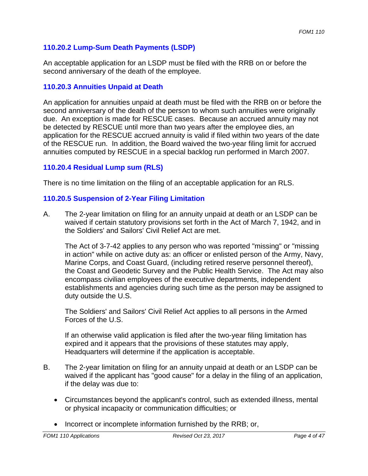## **110.20.2 Lump-Sum Death Payments (LSDP)**

An acceptable application for an LSDP must be filed with the RRB on or before the second anniversary of the death of the employee.

### **110.20.3 Annuities Unpaid at Death**

An application for annuities unpaid at death must be filed with the RRB on or before the second anniversary of the death of the person to whom such annuities were originally due. An exception is made for RESCUE cases. Because an accrued annuity may not be detected by RESCUE until more than two years after the employee dies, an application for the RESCUE accrued annuity is valid if filed within two years of the date of the RESCUE run. In addition, the Board waived the two-year filing limit for accrued annuities computed by RESCUE in a special backlog run performed in March 2007.

#### **110.20.4 Residual Lump sum (RLS)**

There is no time limitation on the filing of an acceptable application for an RLS.

#### **110.20.5 Suspension of 2-Year Filing Limitation**

A. The 2-year limitation on filing for an annuity unpaid at death or an LSDP can be waived if certain statutory provisions set forth in the Act of March 7, 1942, and in the Soldiers' and Sailors' Civil Relief Act are met.

The Act of 3-7-42 applies to any person who was reported "missing" or "missing in action" while on active duty as: an officer or enlisted person of the Army, Navy, Marine Corps, and Coast Guard, (including retired reserve personnel thereof), the Coast and Geodetic Survey and the Public Health Service. The Act may also encompass civilian employees of the executive departments, independent establishments and agencies during such time as the person may be assigned to duty outside the U.S.

The Soldiers' and Sailors' Civil Relief Act applies to all persons in the Armed Forces of the U.S.

If an otherwise valid application is filed after the two-year filing limitation has expired and it appears that the provisions of these statutes may apply, Headquarters will determine if the application is acceptable.

- B. The 2-year limitation on filing for an annuity unpaid at death or an LSDP can be waived if the applicant has "good cause" for a delay in the filing of an application, if the delay was due to:
	- Circumstances beyond the applicant's control, such as extended illness, mental or physical incapacity or communication difficulties; or
	- Incorrect or incomplete information furnished by the RRB; or,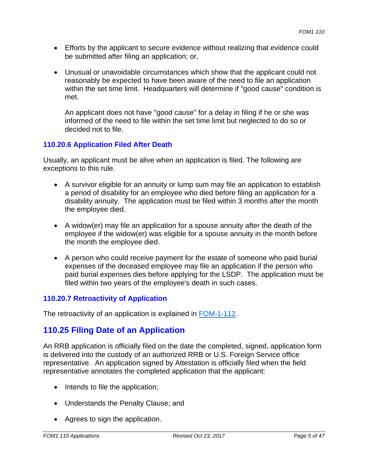- Efforts by the applicant to secure evidence without realizing that evidence could be submitted after filing an application; or,
- Unusual or unavoidable circumstances which show that the applicant could not reasonably be expected to have been aware of the need to file an application within the set time limit. Headquarters will determine if "good cause" condition is met.

An applicant does not have "good cause" for a delay in filing if he or she was informed of the need to file within the set time limit but neglected to do so or decided not to file.

## **110.20.6 Application Filed After Death**

Usually, an applicant must be alive when an application is filed. The following are exceptions to this rule.

- A survivor eligible for an annuity or lump sum may file an application to establish a period of disability for an employee who died before filing an application for a disability annuity. The application must be filed within 3 months after the month the employee died.
- A widow(er) may file an application for a spouse annuity after the death of the employee if the widow(er) was eligible for a spouse annuity in the month before the month the employee died.
- A person who could receive payment for the estate of someone who paid burial expenses of the deceased employee may file an application if the person who paid burial expenses dies before applying for the LSDP. The application must be filed within two years of the employee's death in such cases.

## **110.20.7 Retroactivity of Application**

The retroactivity of an application is explained in FOM-1-112.

# **110.25 Filing Date of an Application**

An RRB application is officially filed on the date the completed, signed, application form is delivered into the custody of an authorized RRB or U.S. Foreign Service office representative. An application signed by Attestation is officially filed when the field representative annotates the completed application that the applicant:

- Intends to file the application;
- Understands the Penalty Clause; and
- Agrees to sign the application.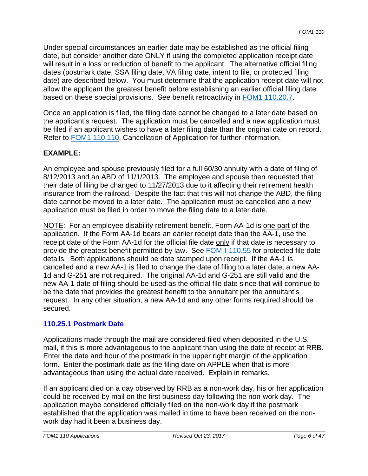Under special circumstances an earlier date may be established as the official filing date, but consider another date ONLY if using the completed application receipt date will result in a loss or reduction of benefit to the applicant. The alternative official filing dates (postmark date, SSA filing date, VA filing date, intent to file, or protected filing date) are described below. You must determine that the application receipt date will not allow the applicant the greatest benefit before establishing an earlier official filing date based on these special provisions. See benefit retroactivity in FOM1 110.20.7.

Once an application is filed, the filing date cannot be changed to a later date based on the applicant's request. The application must be cancelled and a new application must be filed if an applicant wishes to have a later filing date than the original date on record. Refer to FOM1 110.110, Cancellation of Application for further information.

## **EXAMPLE:**

An employee and spouse previously filed for a full 60/30 annuity with a date of filing of 8/12/2013 and an ABD of 11/1/2013. The employee and spouse then requested that their date of filing be changed to 11/27/2013 due to it affecting their retirement health insurance from the railroad. Despite the fact that this will not change the ABD, the filing date cannot be moved to a later date. The application must be cancelled and a new application must be filed in order to move the filing date to a later date.

NOTE: For an employee disability retirement benefit, Form AA-1d is one part of the application. If the Form AA-1d bears an earlier receipt date than the AA-1, use the receipt date of the Form AA-1d for the official file date only if that date is necessary to provide the greatest benefit permitted by law. See **FOM-I-110.55** for protected file date details. Both applications should be date stamped upon receipt. If the AA-1 is cancelled and a new AA-1 is filed to change the date of filing to a later date, a new AA-1d and G-251 are not required. The original AA-1d and G-251 are still valid and the new AA-1 date of filing should be used as the official file date since that will continue to be the date that provides the greatest benefit to the annuitant per the annuitant's request. In any other situation, a new AA-1d and any other forms required should be secured.

## **110.25.1 Postmark Date**

Applications made through the mail are considered filed when deposited in the U.S. mail, if this is more advantageous to the applicant than using the date of receipt at RRB. Enter the date and hour of the postmark in the upper right margin of the application form. Enter the postmark date as the filing date on APPLE when that is more advantageous than using the actual date received. Explain in remarks.

If an applicant died on a day observed by RRB as a non-work day, his or her application could be received by mail on the first business day following the non-work day. The application maybe considered officially filed on the non-work day if the postmark established that the application was mailed in time to have been received on the nonwork day had it been a business day.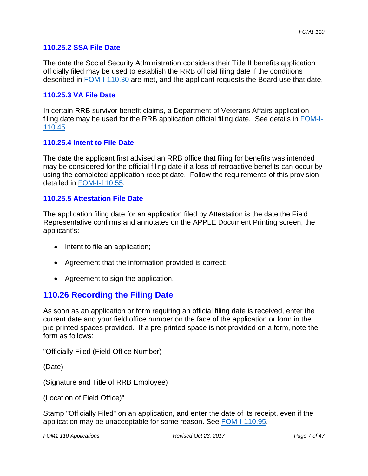#### **110.25.2 SSA File Date**

The date the Social Security Administration considers their Title II benefits application officially filed may be used to establish the RRB official filing date if the conditions described in FOM-I-110.30 are met, and the applicant requests the Board use that date.

#### **110.25.3 VA File Date**

In certain RRB survivor benefit claims, a Department of Veterans Affairs application filing date may be used for the RRB application official filing date. See details in FOM-I-110.45.

#### **110.25.4 Intent to File Date**

The date the applicant first advised an RRB office that filing for benefits was intended may be considered for the official filing date if a loss of retroactive benefits can occur by using the completed application receipt date. Follow the requirements of this provision detailed in FOM-I-110.55.

#### **110.25.5 Attestation File Date**

The application filing date for an application filed by Attestation is the date the Field Representative confirms and annotates on the APPLE Document Printing screen, the applicant's:

- Intent to file an application;
- Agreement that the information provided is correct;
- Agreement to sign the application.

## **110.26 Recording the Filing Date**

As soon as an application or form requiring an official filing date is received, enter the current date and your field office number on the face of the application or form in the pre-printed spaces provided. If a pre-printed space is not provided on a form, note the form as follows:

"Officially Filed (Field Office Number)

(Date)

(Signature and Title of RRB Employee)

(Location of Field Office)"

Stamp "Officially Filed" on an application, and enter the date of its receipt, even if the application may be unacceptable for some reason. See FOM-I-110.95.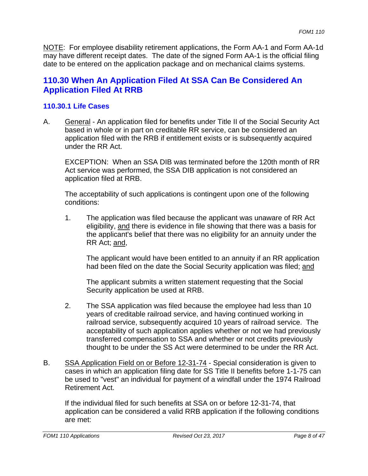NOTE: For employee disability retirement applications, the Form AA-1 and Form AA-1d may have different receipt dates. The date of the signed Form AA-1 is the official filing date to be entered on the application package and on mechanical claims systems.

## **110.30 When An Application Filed At SSA Can Be Considered An Application Filed At RRB**

### **110.30.1 Life Cases**

A. General - An application filed for benefits under Title II of the Social Security Act based in whole or in part on creditable RR service, can be considered an application filed with the RRB if entitlement exists or is subsequently acquired under the RR Act.

EXCEPTION: When an SSA DIB was terminated before the 120th month of RR Act service was performed, the SSA DIB application is not considered an application filed at RRB.

The acceptability of such applications is contingent upon one of the following conditions:

1. The application was filed because the applicant was unaware of RR Act eligibility, and there is evidence in file showing that there was a basis for the applicant's belief that there was no eligibility for an annuity under the RR Act; and,

The applicant would have been entitled to an annuity if an RR application had been filed on the date the Social Security application was filed; and

The applicant submits a written statement requesting that the Social Security application be used at RRB.

- 2. The SSA application was filed because the employee had less than 10 years of creditable railroad service, and having continued working in railroad service, subsequently acquired 10 years of railroad service. The acceptability of such application applies whether or not we had previously transferred compensation to SSA and whether or not credits previously thought to be under the SS Act were determined to be under the RR Act.
- B. SSA Application Field on or Before 12-31-74 Special consideration is given to cases in which an application filing date for SS Title II benefits before 1-1-75 can be used to "vest" an individual for payment of a windfall under the 1974 Railroad Retirement Act.

If the individual filed for such benefits at SSA on or before 12-31-74, that application can be considered a valid RRB application if the following conditions are met: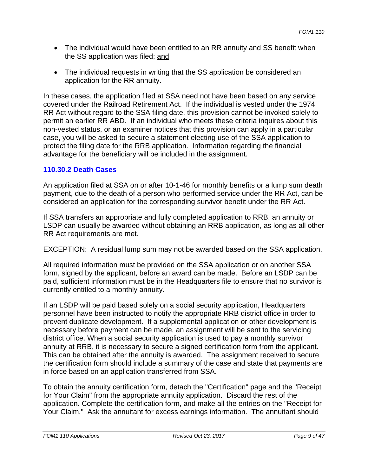- The individual would have been entitled to an RR annuity and SS benefit when the SS application was filed; and
- The individual requests in writing that the SS application be considered an application for the RR annuity.

In these cases, the application filed at SSA need not have been based on any service covered under the Railroad Retirement Act. If the individual is vested under the 1974 RR Act without regard to the SSA filing date, this provision cannot be invoked solely to permit an earlier RR ABD. If an individual who meets these criteria inquires about this non-vested status, or an examiner notices that this provision can apply in a particular case, you will be asked to secure a statement electing use of the SSA application to protect the filing date for the RRB application. Information regarding the financial advantage for the beneficiary will be included in the assignment.

## **110.30.2 Death Cases**

An application filed at SSA on or after 10-1-46 for monthly benefits or a lump sum death payment, due to the death of a person who performed service under the RR Act, can be considered an application for the corresponding survivor benefit under the RR Act.

If SSA transfers an appropriate and fully completed application to RRB, an annuity or LSDP can usually be awarded without obtaining an RRB application, as long as all other RR Act requirements are met.

EXCEPTION: A residual lump sum may not be awarded based on the SSA application.

All required information must be provided on the SSA application or on another SSA form, signed by the applicant, before an award can be made. Before an LSDP can be paid, sufficient information must be in the Headquarters file to ensure that no survivor is currently entitled to a monthly annuity.

If an LSDP will be paid based solely on a social security application, Headquarters personnel have been instructed to notify the appropriate RRB district office in order to prevent duplicate development. If a supplemental application or other development is necessary before payment can be made, an assignment will be sent to the servicing district office. When a social security application is used to pay a monthly survivor annuity at RRB, it is necessary to secure a signed certification form from the applicant. This can be obtained after the annuity is awarded. The assignment received to secure the certification form should include a summary of the case and state that payments are in force based on an application transferred from SSA.

To obtain the annuity certification form, detach the "Certification" page and the "Receipt for Your Claim" from the appropriate annuity application. Discard the rest of the application. Complete the certification form, and make all the entries on the "Receipt for Your Claim." Ask the annuitant for excess earnings information. The annuitant should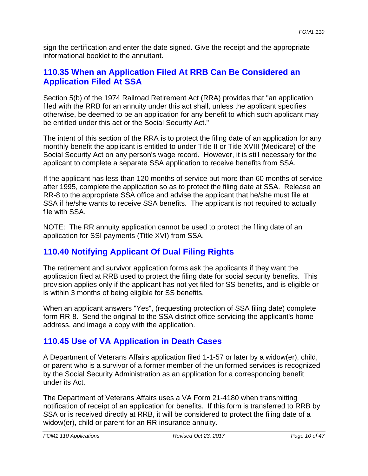sign the certification and enter the date signed. Give the receipt and the appropriate informational booklet to the annuitant.

## **110.35 When an Application Filed At RRB Can Be Considered an Application Filed At SSA**

Section 5(b) of the 1974 Railroad Retirement Act (RRA) provides that "an application filed with the RRB for an annuity under this act shall, unless the applicant specifies otherwise, be deemed to be an application for any benefit to which such applicant may be entitled under this act or the Social Security Act."

The intent of this section of the RRA is to protect the filing date of an application for any monthly benefit the applicant is entitled to under Title II or Title XVIII (Medicare) of the Social Security Act on any person's wage record. However, it is still necessary for the applicant to complete a separate SSA application to receive benefits from SSA.

If the applicant has less than 120 months of service but more than 60 months of service after 1995, complete the application so as to protect the filing date at SSA. Release an RR-8 to the appropriate SSA office and advise the applicant that he/she must file at SSA if he/she wants to receive SSA benefits. The applicant is not required to actually file with SSA.

NOTE: The RR annuity application cannot be used to protect the filing date of an application for SSI payments (Title XVI) from SSA.

# **110.40 Notifying Applicant Of Dual Filing Rights**

The retirement and survivor application forms ask the applicants if they want the application filed at RRB used to protect the filing date for social security benefits. This provision applies only if the applicant has not yet filed for SS benefits, and is eligible or is within 3 months of being eligible for SS benefits.

When an applicant answers "Yes", (requesting protection of SSA filing date) complete form RR-8. Send the original to the SSA district office servicing the applicant's home address, and image a copy with the application.

# **110.45 Use of VA Application in Death Cases**

A Department of Veterans Affairs application filed 1-1-57 or later by a widow(er), child, or parent who is a survivor of a former member of the uniformed services is recognized by the Social Security Administration as an application for a corresponding benefit under its Act.

The Department of Veterans Affairs uses a VA Form 21-4180 when transmitting notification of receipt of an application for benefits. If this form is transferred to RRB by SSA or is received directly at RRB, it will be considered to protect the filing date of a widow(er), child or parent for an RR insurance annuity.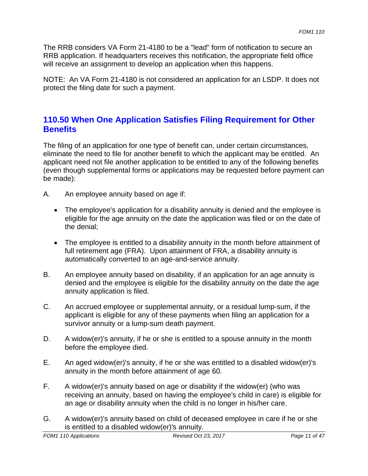The RRB considers VA Form 21-4180 to be a "lead" form of notification to secure an RRB application. If headquarters receives this notification, the appropriate field office will receive an assignment to develop an application when this happens.

NOTE: An VA Form 21-4180 is not considered an application for an LSDP. It does not protect the filing date for such a payment.

## **110.50 When One Application Satisfies Filing Requirement for Other Benefits**

The filing of an application for one type of benefit can, under certain circumstances, eliminate the need to file for another benefit to which the applicant may be entitled. An applicant need not file another application to be entitled to any of the following benefits (even though supplemental forms or applications may be requested before payment can be made):

- A. An employee annuity based on age if:
	- The employee's application for a disability annuity is denied and the employee is eligible for the age annuity on the date the application was filed or on the date of the denial;
	- The employee is entitled to a disability annuity in the month before attainment of full retirement age (FRA). Upon attainment of FRA, a disability annuity is automatically converted to an age-and-service annuity.
- B. An employee annuity based on disability, if an application for an age annuity is denied and the employee is eligible for the disability annuity on the date the age annuity application is filed.
- C. An accrued employee or supplemental annuity, or a residual lump-sum, if the applicant is eligible for any of these payments when filing an application for a survivor annuity or a lump-sum death payment.
- D. A widow(er)'s annuity, if he or she is entitled to a spouse annuity in the month before the employee died.
- E. An aged widow(er)'s annuity, if he or she was entitled to a disabled widow(er)'s annuity in the month before attainment of age 60.
- F. A widow(er)'s annuity based on age or disability if the widow(er) (who was receiving an annuity, based on having the employee's child in care) is eligible for an age or disability annuity when the child is no longer in his/her care.
- G. A widow(er)'s annuity based on child of deceased employee in care if he or she is entitled to a disabled widow(er)'s annuity.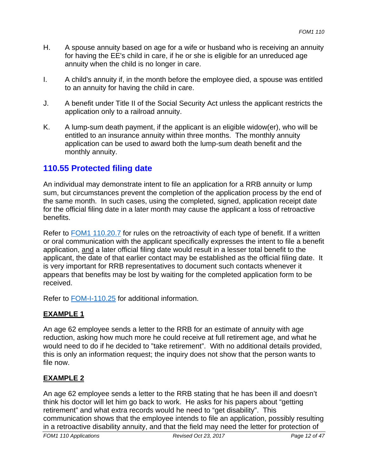- H. A spouse annuity based on age for a wife or husband who is receiving an annuity for having the EE's child in care, if he or she is eligible for an unreduced age annuity when the child is no longer in care.
- I. A child's annuity if, in the month before the employee died, a spouse was entitled to an annuity for having the child in care.
- J. A benefit under Title II of the Social Security Act unless the applicant restricts the application only to a railroad annuity.
- K. A lump-sum death payment, if the applicant is an eligible widow(er), who will be entitled to an insurance annuity within three months. The monthly annuity application can be used to award both the lump-sum death benefit and the monthly annuity.

## **110.55 Protected filing date**

An individual may demonstrate intent to file an application for a RRB annuity or lump sum, but circumstances prevent the completion of the application process by the end of the same month. In such cases, using the completed, signed, application receipt date for the official filing date in a later month may cause the applicant a loss of retroactive benefits.

Refer to **FOM1 110.20.7** for rules on the retroactivity of each type of benefit. If a written or oral communication with the applicant specifically expresses the intent to file a benefit application, and a later official filing date would result in a lesser total benefit to the applicant, the date of that earlier contact may be established as the official filing date. It is very important for RRB representatives to document such contacts whenever it appears that benefits may be lost by waiting for the completed application form to be received.

Refer to FOM-I-110.25 for additional information.

## **EXAMPLE 1**

An age 62 employee sends a letter to the RRB for an estimate of annuity with age reduction, asking how much more he could receive at full retirement age, and what he would need to do if he decided to "take retirement". With no additional details provided, this is only an information request; the inquiry does not show that the person wants to file now.

## **EXAMPLE 2**

An age 62 employee sends a letter to the RRB stating that he has been ill and doesn't think his doctor will let him go back to work. He asks for his papers about "getting retirement" and what extra records would he need to "get disability". This communication shows that the employee intends to file an application, possibly resulting in a retroactive disability annuity, and that the field may need the letter for protection of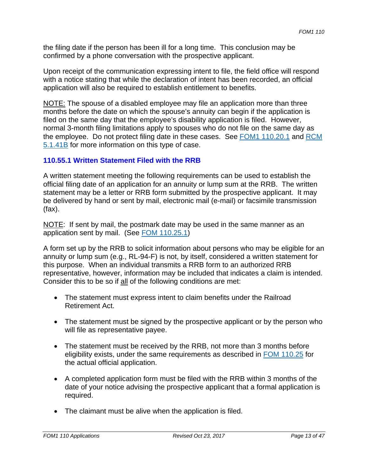the filing date if the person has been ill for a long time. This conclusion may be confirmed by a phone conversation with the prospective applicant.

Upon receipt of the communication expressing intent to file, the field office will respond with a notice stating that while the declaration of intent has been recorded, an official application will also be required to establish entitlement to benefits.

NOTE: The spouse of a disabled employee may file an application more than three months before the date on which the spouse's annuity can begin if the application is filed on the same day that the employee's disability application is filed. However, normal 3-month filing limitations apply to spouses who do not file on the same day as the employee. Do not protect filing date in these cases. See FOM1 110.20.1 and RCM 5.1.41B for more information on this type of case.

## **110.55.1 Written Statement Filed with the RRB**

A written statement meeting the following requirements can be used to establish the official filing date of an application for an annuity or lump sum at the RRB. The written statement may be a letter or RRB form submitted by the prospective applicant. It may be delivered by hand or sent by mail, electronic mail (e-mail) or facsimile transmission (fax).

NOTE: If sent by mail, the postmark date may be used in the same manner as an application sent by mail. (See FOM 110.25.1)

A form set up by the RRB to solicit information about persons who may be eligible for an annuity or lump sum (e.g., RL-94-F) is not, by itself, considered a written statement for this purpose. When an individual transmits a RRB form to an authorized RRB representative, however, information may be included that indicates a claim is intended. Consider this to be so if all of the following conditions are met:

- The statement must express intent to claim benefits under the Railroad Retirement Act.
- The statement must be signed by the prospective applicant or by the person who will file as representative payee.
- The statement must be received by the RRB, not more than 3 months before eligibility exists, under the same requirements as described in FOM 110.25 for the actual official application.
- A completed application form must be filed with the RRB within 3 months of the date of your notice advising the prospective applicant that a formal application is required.
- The claimant must be alive when the application is filed.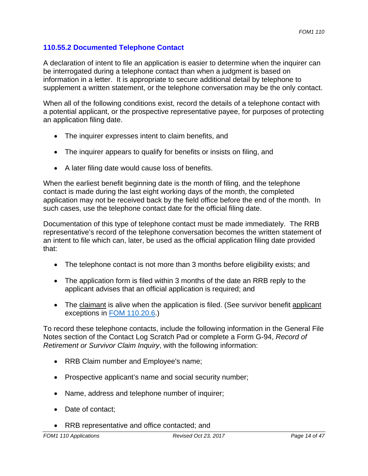## **110.55.2 Documented Telephone Contact**

A declaration of intent to file an application is easier to determine when the inquirer can be interrogated during a telephone contact than when a judgment is based on information in a letter. It is appropriate to secure additional detail by telephone to supplement a written statement, or the telephone conversation may be the only contact.

When all of the following conditions exist, record the details of a telephone contact with a potential applicant, or the prospective representative payee, for purposes of protecting an application filing date.

- The inquirer expresses intent to claim benefits, and
- The inquirer appears to qualify for benefits or insists on filing, and
- A later filing date would cause loss of benefits.

When the earliest benefit beginning date is the month of filing, and the telephone contact is made during the last eight working days of the month, the completed application may not be received back by the field office before the end of the month. In such cases, use the telephone contact date for the official filing date.

Documentation of this type of telephone contact must be made immediately. The RRB representative's record of the telephone conversation becomes the written statement of an intent to file which can, later, be used as the official application filing date provided that:

- The telephone contact is not more than 3 months before eligibility exists; and
- The application form is filed within 3 months of the date an RRB reply to the applicant advises that an official application is required; and
- The claimant is alive when the application is filed. (See survivor benefit applicant exceptions in FOM 110.20.6.)

To record these telephone contacts, include the following information in the General File Notes section of the Contact Log Scratch Pad or complete a Form G-94, *Record of Retirement or Survivor Claim Inquiry*, with the following information:

- RRB Claim number and Employee's name;
- Prospective applicant's name and social security number;
- Name, address and telephone number of inquirer;
- Date of contact;
- RRB representative and office contacted; and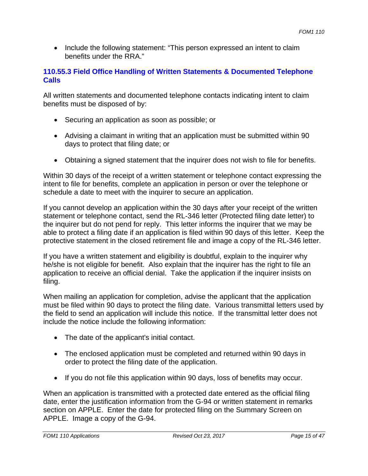• Include the following statement: "This person expressed an intent to claim benefits under the RRA."

### **110.55.3 Field Office Handling of Written Statements & Documented Telephone Calls**

All written statements and documented telephone contacts indicating intent to claim benefits must be disposed of by:

- Securing an application as soon as possible; or
- Advising a claimant in writing that an application must be submitted within 90 days to protect that filing date; or
- Obtaining a signed statement that the inquirer does not wish to file for benefits.

Within 30 days of the receipt of a written statement or telephone contact expressing the intent to file for benefits, complete an application in person or over the telephone or schedule a date to meet with the inquirer to secure an application.

If you cannot develop an application within the 30 days after your receipt of the written statement or telephone contact, send the RL-346 letter (Protected filing date letter) to the inquirer but do not pend for reply. This letter informs the inquirer that we may be able to protect a filing date if an application is filed within 90 days of this letter. Keep the protective statement in the closed retirement file and image a copy of the RL-346 letter.

If you have a written statement and eligibility is doubtful, explain to the inquirer why he/she is not eligible for benefit. Also explain that the inquirer has the right to file an application to receive an official denial. Take the application if the inquirer insists on filing.

When mailing an application for completion, advise the applicant that the application must be filed within 90 days to protect the filing date. Various transmittal letters used by the field to send an application will include this notice. If the transmittal letter does not include the notice include the following information:

- The date of the applicant's initial contact.
- The enclosed application must be completed and returned within 90 days in order to protect the filing date of the application.
- If you do not file this application within 90 days, loss of benefits may occur.

When an application is transmitted with a protected date entered as the official filing date, enter the justification information from the G-94 or written statement in remarks section on APPLE. Enter the date for protected filing on the Summary Screen on APPLE. Image a copy of the G-94.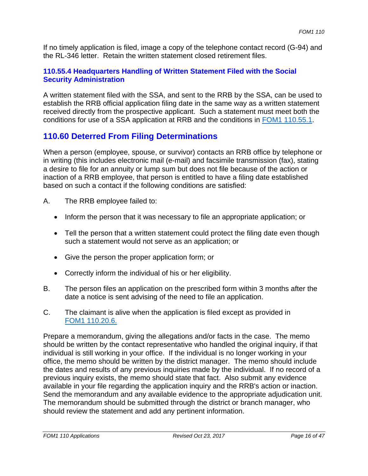If no timely application is filed, image a copy of the telephone contact record (G-94) and the RL-346 letter. Retain the written statement closed retirement files.

### **110.55.4 Headquarters Handling of Written Statement Filed with the Social Security Administration**

A written statement filed with the SSA, and sent to the RRB by the SSA, can be used to establish the RRB official application filing date in the same way as a written statement received directly from the prospective applicant. Such a statement must meet both the conditions for use of a SSA application at RRB and the conditions in FOM1 110.55.1.

# **110.60 Deterred From Filing Determinations**

When a person (employee, spouse, or survivor) contacts an RRB office by telephone or in writing (this includes electronic mail (e-mail) and facsimile transmission (fax), stating a desire to file for an annuity or lump sum but does not file because of the action or inaction of a RRB employee, that person is entitled to have a filing date established based on such a contact if the following conditions are satisfied:

- A. The RRB employee failed to:
	- Inform the person that it was necessary to file an appropriate application; or
	- Tell the person that a written statement could protect the filing date even though such a statement would not serve as an application; or
	- Give the person the proper application form; or
	- Correctly inform the individual of his or her eligibility.
- B. The person files an application on the prescribed form within 3 months after the date a notice is sent advising of the need to file an application.
- C. The claimant is alive when the application is filed except as provided in FOM1 110.20.6.

Prepare a memorandum, giving the allegations and/or facts in the case. The memo should be written by the contact representative who handled the original inquiry, if that individual is still working in your office. If the individual is no longer working in your office, the memo should be written by the district manager. The memo should include the dates and results of any previous inquiries made by the individual. If no record of a previous inquiry exists, the memo should state that fact. Also submit any evidence available in your file regarding the application inquiry and the RRB's action or inaction. Send the memorandum and any available evidence to the appropriate adjudication unit. The memorandum should be submitted through the district or branch manager, who should review the statement and add any pertinent information.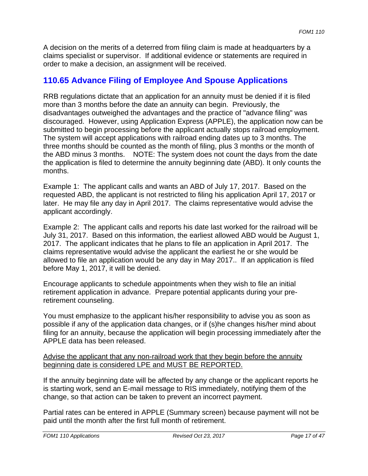A decision on the merits of a deterred from filing claim is made at headquarters by a claims specialist or supervisor. If additional evidence or statements are required in order to make a decision, an assignment will be received.

## **110.65 Advance Filing of Employee And Spouse Applications**

 the ABD minus 3 months. NOTE: The system does not count the days from the date RRB regulations dictate that an application for an annuity must be denied if it is filed more than 3 months before the date an annuity can begin. Previously, the disadvantages outweighed the advantages and the practice of "advance filing" was discouraged. However, using Application Express (APPLE), the application now can be submitted to begin processing before the applicant actually stops railroad employment. The system will accept applications with railroad ending dates up to 3 months. The three months should be counted as the month of filing, plus 3 months or the month of the application is filed to determine the annuity beginning date (ABD). It only counts the months.

Example 1: The applicant calls and wants an ABD of July 17, 2017. Based on the requested ABD, the applicant is not restricted to filing his application April 17, 2017 or later. He may file any day in April 2017. The claims representative would advise the applicant accordingly.

Example 2: The applicant calls and reports his date last worked for the railroad will be July 31, 2017. Based on this information, the earliest allowed ABD would be August 1, 2017. The applicant indicates that he plans to file an application in April 2017. The claims representative would advise the applicant the earliest he or she would be allowed to file an application would be any day in May 2017.. If an application is filed before May 1, 2017, it will be denied.

Encourage applicants to schedule appointments when they wish to file an initial retirement application in advance. Prepare potential applicants during your preretirement counseling.

You must emphasize to the applicant his/her responsibility to advise you as soon as possible if any of the application data changes, or if (s)he changes his/her mind about filing for an annuity, because the application will begin processing immediately after the APPLE data has been released.

#### Advise the applicant that any non-railroad work that they begin before the annuity beginning date is considered LPE and MUST BE REPORTED.

If the annuity beginning date will be affected by any change or the applicant reports he is starting work, send an E-mail message to RIS immediately, notifying them of the change, so that action can be taken to prevent an incorrect payment.

Partial rates can be entered in APPLE (Summary screen) because payment will not be paid until the month after the first full month of retirement.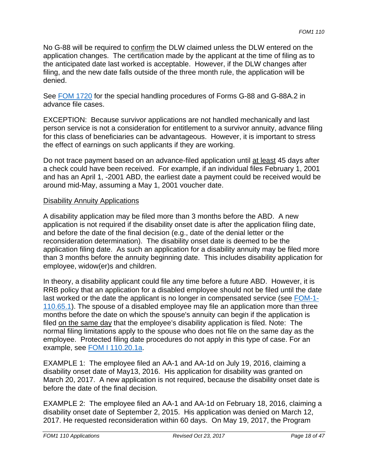No G-88 will be required to confirm the DLW claimed unless the DLW entered on the application changes. The certification made by the applicant at the time of filing as to the anticipated date last worked is acceptable. However, if the DLW changes after filing, and the new date falls outside of the three month rule, the application will be denied.

See FOM 1720 for the special handling procedures of Forms G-88 and G-88A.2 in advance file cases.

EXCEPTION: Because survivor applications are not handled mechanically and last person service is not a consideration for entitlement to a survivor annuity, advance filing for this class of beneficiaries can be advantageous. However, it is important to stress the effect of earnings on such applicants if they are working.

Do not trace payment based on an advance-filed application until at least 45 days after a check could have been received. For example, if an individual files February 1, 2001 and has an April 1, -2001 ABD, the earliest date a payment could be received would be around mid-May, assuming a May 1, 2001 voucher date.

#### Disability Annuity Applications

A disability application may be filed more than 3 months before the ABD. A new application is not required if the disability onset date is after the application filing date, and before the date of the final decision (e.g., date of the denial letter or the reconsideration determination). The disability onset date is deemed to be the application filing date. As such an application for a disability annuity may be filed more than 3 months before the annuity beginning date. This includes disability application for employee, widow(er)s and children.

In theory, a disability applicant could file any time before a future ABD. However, it is RRB policy that an application for a disabled employee should not be filed until the date last worked or the date the applicant is no longer in compensated service (see FOM-1- 110.65.1). The spouse of a disabled employee may file an application more than three months before the date on which the spouse's annuity can begin if the application is filed on the same day that the employee's disability application is filed. Note: The normal filing limitations apply to the spouse who does not file on the same day as the employee. Protected filing date procedures do not apply in this type of case. For an example, see FOM I 110.20.1a.

EXAMPLE 1: The employee filed an AA-1 and AA-1d on July 19, 2016, claiming a disability onset date of May13, 2016. His application for disability was granted on March 20, 2017. A new application is not required, because the disability onset date is before the date of the final decision.

EXAMPLE 2: The employee filed an AA-1 and AA-1d on February 18, 2016, claiming a disability onset date of September 2, 2015. His application was denied on March 12, 2017. He requested reconsideration within 60 days. On May 19, 2017, the Program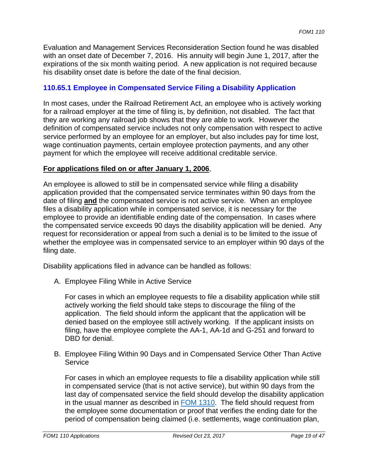Evaluation and Management Services Reconsideration Section found he was disabled with an onset date of December 7, 2016. His annuity will begin June 1, 2017, after the expirations of the six month waiting period. A new application is not required because his disability onset date is before the date of the final decision.

## **110.65.1 Employee in Compensated Service Filing a Disability Application**

In most cases, under the Railroad Retirement Act, an employee who is actively working for a railroad employer at the time of filing is, by definition, not disabled. The fact that they are working any railroad job shows that they are able to work. However the definition of compensated service includes not only compensation with respect to active service performed by an employee for an employer, but also includes pay for time lost, wage continuation payments, certain employee protection payments, and any other payment for which the employee will receive additional creditable service.

#### **For applications filed on or after January 1, 2006**,

An employee is allowed to still be in compensated service while filing a disability application provided that the compensated service terminates within 90 days from the date of filing **and** the compensated service is not active service. When an employee files a disability application while in compensated service, it is necessary for the employee to provide an identifiable ending date of the compensation. In cases where the compensated service exceeds 90 days the disability application will be denied. Any request for reconsideration or appeal from such a denial is to be limited to the issue of whether the employee was in compensated service to an employer within 90 days of the filing date.

Disability applications filed in advance can be handled as follows:

A. Employee Filing While in Active Service

For cases in which an employee requests to file a disability application while still actively working the field should take steps to discourage the filing of the application. The field should inform the applicant that the application will be denied based on the employee still actively working. If the applicant insists on filing, have the employee complete the AA-1, AA-1d and G-251 and forward to DBD for denial.

B. Employee Filing Within 90 Days and in Compensated Service Other Than Active **Service** 

For cases in which an employee requests to file a disability application while still in compensated service (that is not active service), but within 90 days from the last day of compensated service the field should develop the disability application in the usual manner as described in **FOM 1310**. The field should request from the employee some documentation or proof that verifies the ending date for the period of compensation being claimed (i.e. settlements, wage continuation plan,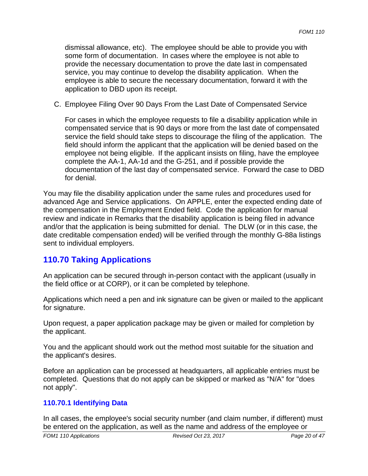dismissal allowance, etc). The employee should be able to provide you with some form of documentation. In cases where the employee is not able to provide the necessary documentation to prove the date last in compensated service, you may continue to develop the disability application. When the employee is able to secure the necessary documentation, forward it with the application to DBD upon its receipt.

C. Employee Filing Over 90 Days From the Last Date of Compensated Service

For cases in which the employee requests to file a disability application while in compensated service that is 90 days or more from the last date of compensated service the field should take steps to discourage the filing of the application. The field should inform the applicant that the application will be denied based on the employee not being eligible. If the applicant insists on filing, have the employee complete the AA-1, AA-1d and the G-251, and if possible provide the documentation of the last day of compensated service. Forward the case to DBD for denial.

You may file the disability application under the same rules and procedures used for advanced Age and Service applications. On APPLE, enter the expected ending date of the compensation in the Employment Ended field. Code the application for manual review and indicate in Remarks that the disability application is being filed in advance and/or that the application is being submitted for denial. The DLW (or in this case, the date creditable compensation ended) will be verified through the monthly G-88a listings sent to individual employers.

# **110.70 Taking Applications**

An application can be secured through in-person contact with the applicant (usually in the field office or at CORP), or it can be completed by telephone.

Applications which need a pen and ink signature can be given or mailed to the applicant for signature.

Upon request, a paper application package may be given or mailed for completion by the applicant.

You and the applicant should work out the method most suitable for the situation and the applicant's desires.

Before an application can be processed at headquarters, all applicable entries must be completed. Questions that do not apply can be skipped or marked as "N/A" for "does not apply".

## **110.70.1 Identifying Data**

In all cases, the employee's social security number (and claim number, if different) must be entered on the application, as well as the name and address of the employee or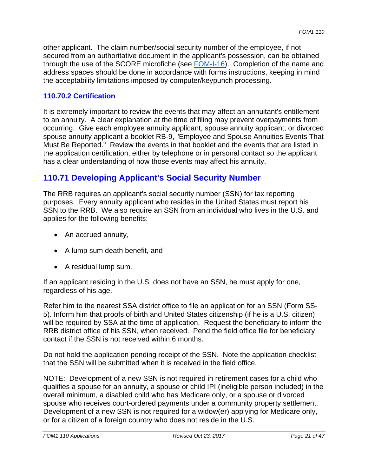other applicant. The claim number/social security number of the employee, if not secured from an authoritative document in the applicant's possession, can be obtained through the use of the SCORE microfiche (see FOM-I-16). Completion of the name and address spaces should be done in accordance with forms instructions, keeping in mind the acceptability limitations imposed by computer/keypunch processing.

## **110.70.2 Certification**

It is extremely important to review the events that may affect an annuitant's entitlement to an annuity. A clear explanation at the time of filing may prevent overpayments from occurring. Give each employee annuity applicant, spouse annuity applicant, or divorced spouse annuity applicant a booklet RB-9, "Employee and Spouse Annuities Events That Must Be Reported." Review the events in that booklet and the events that are listed in the application certification, either by telephone or in personal contact so the applicant has a clear understanding of how those events may affect his annuity.

## **110.71 Developing Applicant's Social Security Number**

The RRB requires an applicant's social security number (SSN) for tax reporting purposes. Every annuity applicant who resides in the United States must report his SSN to the RRB. We also require an SSN from an individual who lives in the U.S. and applies for the following benefits:

- An accrued annuity,
- A lump sum death benefit, and
- A residual lump sum.

If an applicant residing in the U.S. does not have an SSN, he must apply for one, regardless of his age.

Refer him to the nearest SSA district office to file an application for an SSN (Form SS-5). Inform him that proofs of birth and United States citizenship (if he is a U.S. citizen) will be required by SSA at the time of application. Request the beneficiary to inform the RRB district office of his SSN, when received. Pend the field office file for beneficiary contact if the SSN is not received within 6 months.

Do not hold the application pending receipt of the SSN. Note the application checklist that the SSN will be submitted when it is received in the field office.

NOTE: Development of a new SSN is not required in retirement cases for a child who qualifies a spouse for an annuity, a spouse or child IPI (ineligible person included) in the overall minimum, a disabled child who has Medicare only, or a spouse or divorced spouse who receives court-ordered payments under a community property settlement. Development of a new SSN is not required for a widow(er) applying for Medicare only, or for a citizen of a foreign country who does not reside in the U.S.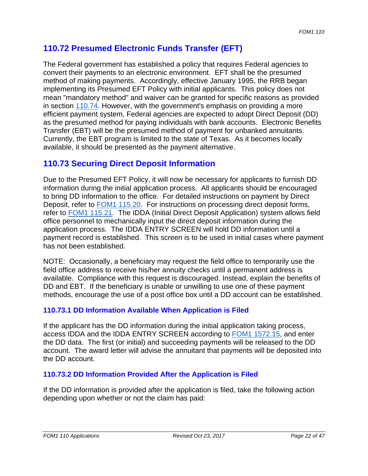## **110.72 Presumed Electronic Funds Transfer (EFT)**

The Federal government has established a policy that requires Federal agencies to convert their payments to an electronic environment. EFT shall be the presumed method of making payments. Accordingly, effective January 1995, the RRB began implementing its Presumed EFT Policy with initial applicants. This policy does not mean "mandatory method" and waiver can be granted for specific reasons as provided in section 110.74. However, with the government's emphasis on providing a more efficient payment system, Federal agencies are expected to adopt Direct Deposit (DD) as the presumed method for paying individuals with bank accounts. Electronic Benefits Transfer (EBT) will be the presumed method of payment for unbanked annuitants. Currently, the EBT program is limited to the state of Texas. As it becomes locally available, it should be presented as the payment alternative.

## **110.73 Securing Direct Deposit Information**

Due to the Presumed EFT Policy, it will now be necessary for applicants to furnish DD information during the initial application process. All applicants should be encouraged to bring DD information to the office. For detailed instructions on payment by Direct Deposit, refer to FOM1 115.20. For instructions on processing direct deposit forms, refer to FOM1 115.21. The IDDA (Initial Direct Deposit Application) system allows field office personnel to mechanically input the direct deposit information during the application process. The IDDA ENTRY SCREEN will hold DD information until a payment record is established. This screen is to be used in initial cases where payment has not been established.

NOTE: Occasionally, a beneficiary may request the field office to temporarily use the field office address to receive his/her annuity checks until a permanent address is available. Compliance with this request is discouraged. Instead, explain the benefits of DD and EBT. If the beneficiary is unable or unwilling to use one of these payment methods, encourage the use of a post office box until a DD account can be established.

## **110.73.1 DD Information Available When Application is Filed**

If the applicant has the DD information during the initial application taking process, access IDDA and the IDDA ENTRY SCREEN according to FOM1 1572.15, and enter the DD data. The first (or initial) and succeeding payments will be released to the DD account. The award letter will advise the annuitant that payments will be deposited into the DD account.

## **110.73.2 DD Information Provided After the Application is Filed**

If the DD information is provided after the application is filed, take the following action depending upon whether or not the claim has paid: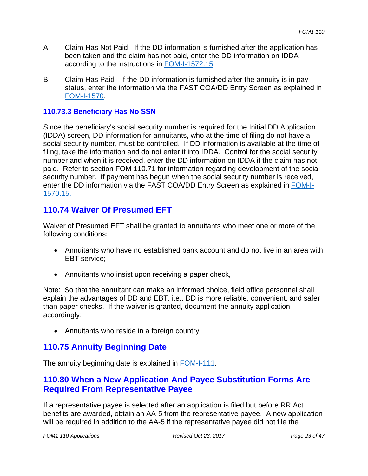- A. Claim Has Not Paid If the DD information is furnished after the application has been taken and the claim has not paid, enter the DD information on IDDA according to the instructions in FOM-I-1572.15.
- B. Claim Has Paid If the DD information is furnished after the annuity is in pay status, enter the information via the FAST COA/DD Entry Screen as explained in FOM-I-1570.

### **110.73.3 Beneficiary Has No SSN**

 1570.15. Since the beneficiary's social security number is required for the Initial DD Application (IDDA) screen, DD information for annuitants, who at the time of filing do not have a social security number, must be controlled. If DD information is available at the time of filing, take the information and do not enter it into IDDA. Control for the social security number and when it is received, enter the DD information on IDDA if the claim has not paid. Refer to section FOM 110.71 for information regarding development of the social security number. If payment has begun when the social security number is received, enter the DD information via the FAST COA/DD Entry Screen as explained in FOM-I-

## **110.74 Waiver Of Presumed EFT**

Waiver of Presumed EFT shall be granted to annuitants who meet one or more of the following conditions:

- Annuitants who have no established bank account and do not live in an area with EBT service;
- Annuitants who insist upon receiving a paper check,

Note: So that the annuitant can make an informed choice, field office personnel shall explain the advantages of DD and EBT, i.e., DD is more reliable, convenient, and safer than paper checks. If the waiver is granted, document the annuity application accordingly;

• Annuitants who reside in a foreign country.

## **110.75 Annuity Beginning Date**

The annuity beginning date is explained in FOM-I-111.

## **110.80 When a New Application And Payee Substitution Forms Are Required From Representative Payee**

If a representative payee is selected after an application is filed but before RR Act benefits are awarded, obtain an AA-5 from the representative payee. A new application will be required in addition to the AA-5 if the representative payee did not file the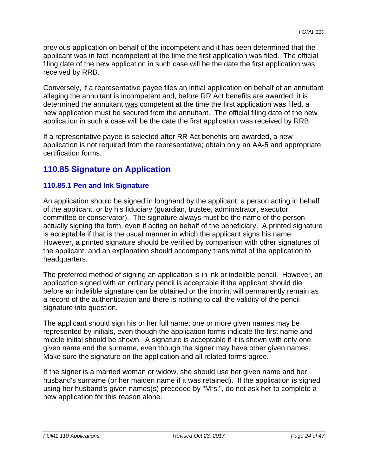previous application on behalf of the incompetent and it has been determined that the applicant was in fact incompetent at the time the first application was filed. The official filing date of the new application in such case will be the date the first application was received by RRB.

Conversely, if a representative payee files an initial application on behalf of an annuitant alleging the annuitant is incompetent and, before RR Act benefits are awarded, it is determined the annuitant was competent at the time the first application was filed, a new application must be secured from the annuitant. The official filing date of the new application in such a case will be the date the first application was received by RRB.

If a representative payee is selected after RR Act benefits are awarded, a new application is not required from the representative; obtain only an AA-5 and appropriate certification forms.

## **110.85 Signature on Application**

## **110.85.1 Pen and Ink Signature**

An application should be signed in longhand by the applicant, a person acting in behalf of the applicant, or by his fiduciary (guardian, trustee, administrator, executor, committee or conservator). The signature always must be the name of the person actually signing the form, even if acting on behalf of the beneficiary. A printed signature is acceptable if that is the usual manner in which the applicant signs his name. However, a printed signature should be verified by comparison with other signatures of the applicant, and an explanation should accompany transmittal of the application to headquarters.

The preferred method of signing an application is in ink or indelible pencil. However, an application signed with an ordinary pencil is acceptable if the applicant should die before an indelible signature can be obtained or the imprint will permanently remain as a record of the authentication and there is nothing to call the validity of the pencil signature into question.

The applicant should sign his or her full name; one or more given names may be represented by initials, even though the application forms indicate the first name and middle initial should be shown. A signature is acceptable if it is shown with only one given name and the surname, even though the signer may have other given names. Make sure the signature on the application and all related forms agree.

If the signer is a married woman or widow, she should use her given name and her husband's surname (or her maiden name if it was retained). If the application is signed using her husband's given names(s) preceded by "Mrs.", do not ask her to complete a new application for this reason alone.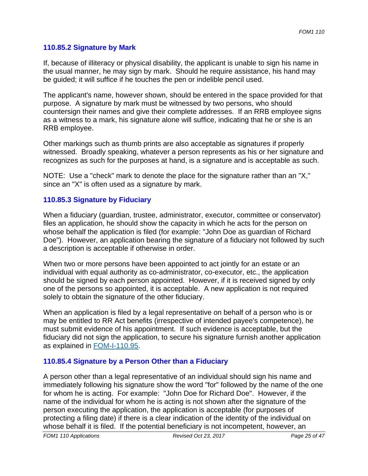#### **110.85.2 Signature by Mark**

If, because of illiteracy or physical disability, the applicant is unable to sign his name in the usual manner, he may sign by mark. Should he require assistance, his hand may be guided; it will suffice if he touches the pen or indelible pencil used.

The applicant's name, however shown, should be entered in the space provided for that purpose. A signature by mark must be witnessed by two persons, who should countersign their names and give their complete addresses. If an RRB employee signs as a witness to a mark, his signature alone will suffice, indicating that he or she is an RRB employee.

Other markings such as thumb prints are also acceptable as signatures if properly witnessed. Broadly speaking, whatever a person represents as his or her signature and recognizes as such for the purposes at hand, is a signature and is acceptable as such.

NOTE: Use a "check" mark to denote the place for the signature rather than an "X," since an "X" is often used as a signature by mark.

#### **110.85.3 Signature by Fiduciary**

When a fiduciary (guardian, trustee, administrator, executor, committee or conservator) files an application, he should show the capacity in which he acts for the person on whose behalf the application is filed (for example: "John Doe as guardian of Richard Doe"). However, an application bearing the signature of a fiduciary not followed by such a description is acceptable if otherwise in order.

When two or more persons have been appointed to act jointly for an estate or an individual with equal authority as co-administrator, co-executor, etc., the application should be signed by each person appointed. However, if it is received signed by only one of the persons so appointed, it is acceptable. A new application is not required solely to obtain the signature of the other fiduciary.

When an application is filed by a legal representative on behalf of a person who is or may be entitled to RR Act benefits (irrespective of intended payee's competence), he must submit evidence of his appointment. If such evidence is acceptable, but the fiduciary did not sign the application, to secure his signature furnish another application as explained in FOM-I-110.95.

## **110.85.4 Signature by a Person Other than a Fiduciary**

A person other than a legal representative of an individual should sign his name and immediately following his signature show the word "for" followed by the name of the one for whom he is acting. For example: "John Doe for Richard Doe". However, if the name of the individual for whom he is acting is not shown after the signature of the person executing the application, the application is acceptable (for purposes of protecting a filing date) if there is a clear indication of the identity of the individual on whose behalf it is filed. If the potential beneficiary is not incompetent, however, an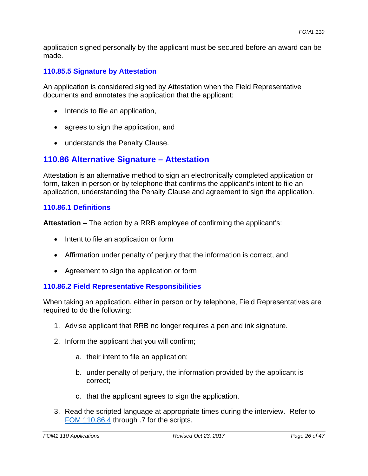application signed personally by the applicant must be secured before an award can be made.

## **110.85.5 Signature by Attestation**

An application is considered signed by Attestation when the Field Representative documents and annotates the application that the applicant:

- Intends to file an application,
- agrees to sign the application, and
- understands the Penalty Clause.

## **110.86 Alternative Signature – Attestation**

Attestation is an alternative method to sign an electronically completed application or form, taken in person or by telephone that confirms the applicant's intent to file an application, understanding the Penalty Clause and agreement to sign the application.

#### **110.86.1 Definitions**

**Attestation** – The action by a RRB employee of confirming the applicant's:

- Intent to file an application or form
- Affirmation under penalty of perjury that the information is correct, and
- Agreement to sign the application or form

## **110.86.2 Field Representative Responsibilities**

When taking an application, either in person or by telephone, Field Representatives are required to do the following:

- 1. Advise applicant that RRB no longer requires a pen and ink signature.
- 2. Inform the applicant that you will confirm;
	- a. their intent to file an application;
	- b. under penalty of perjury, the information provided by the applicant is correct;
	- c. that the applicant agrees to sign the application.
- 3. Read the scripted language at appropriate times during the interview. Refer to FOM 110.86.4 through .7 for the scripts.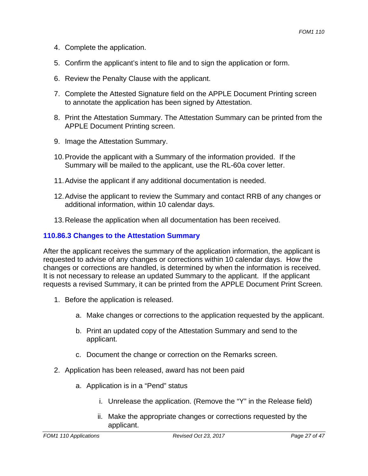- 4. Complete the application.
- 5. Confirm the applicant's intent to file and to sign the application or form.
- 6. Review the Penalty Clause with the applicant.
- 7. Complete the Attested Signature field on the APPLE Document Printing screen to annotate the application has been signed by Attestation.
- 8. Print the Attestation Summary. The Attestation Summary can be printed from the APPLE Document Printing screen.
- 9. Image the Attestation Summary.
- 10.Provide the applicant with a Summary of the information provided. If the Summary will be mailed to the applicant, use the RL-60a cover letter.
- 11.Advise the applicant if any additional documentation is needed.
- 12.Advise the applicant to review the Summary and contact RRB of any changes or additional information, within 10 calendar days.
- 13.Release the application when all documentation has been received.

#### **110.86.3 Changes to the Attestation Summary**

After the applicant receives the summary of the application information, the applicant is requested to advise of any changes or corrections within 10 calendar days. How the changes or corrections are handled, is determined by when the information is received. It is not necessary to release an updated Summary to the applicant. If the applicant requests a revised Summary, it can be printed from the APPLE Document Print Screen.

- 1. Before the application is released.
	- a. Make changes or corrections to the application requested by the applicant.
	- b. Print an updated copy of the Attestation Summary and send to the applicant.
	- c. Document the change or correction on the Remarks screen.
- 2. Application has been released, award has not been paid
	- a. Application is in a "Pend" status
		- i. Unrelease the application. (Remove the "Y" in the Release field)
		- ii. Make the appropriate changes or corrections requested by the applicant.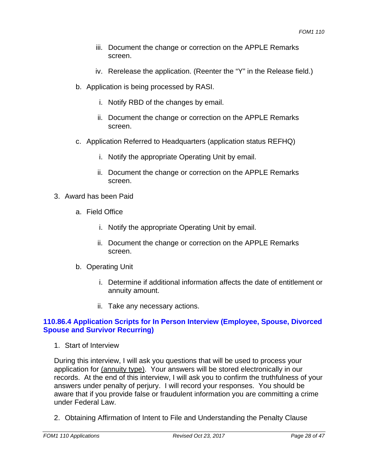- iii. Document the change or correction on the APPLE Remarks screen.
- iv. Rerelease the application. (Reenter the "Y" in the Release field.)
- b. Application is being processed by RASI.
	- i. Notify RBD of the changes by email.
	- ii. Document the change or correction on the APPLE Remarks screen.
- c. Application Referred to Headquarters (application status REFHQ)
	- i. Notify the appropriate Operating Unit by email.
	- ii. Document the change or correction on the APPLE Remarks screen.
- 3. Award has been Paid
	- a. Field Office
		- i. Notify the appropriate Operating Unit by email.
		- ii. Document the change or correction on the APPLE Remarks screen.
	- b. Operating Unit
		- i. Determine if additional information affects the date of entitlement or annuity amount.
		- ii. Take any necessary actions.

## **110.86.4 Application Scripts for In Person Interview (Employee, Spouse, Divorced Spouse and Survivor Recurring)**

1. Start of Interview

During this interview, I will ask you questions that will be used to process your application for (annuity type). Your answers will be stored electronically in our records. At the end of this interview, I will ask you to confirm the truthfulness of your answers under penalty of perjury. I will record your responses. You should be aware that if you provide false or fraudulent information you are committing a crime under Federal Law.

2. Obtaining Affirmation of Intent to File and Understanding the Penalty Clause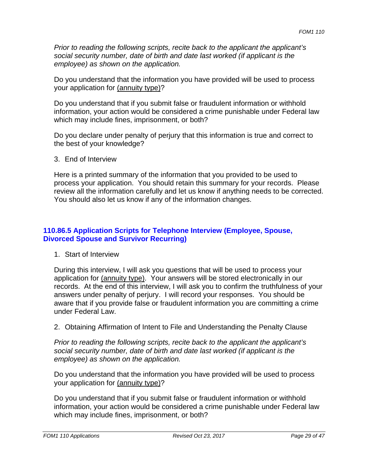*Prior to reading the following scripts, recite back to the applicant the applicant's social security number, date of birth and date last worked (if applicant is the employee) as shown on the application.* 

Do you understand that the information you have provided will be used to process your application for (annuity type)?

Do you understand that if you submit false or fraudulent information or withhold information, your action would be considered a crime punishable under Federal law which may include fines, imprisonment, or both?

Do you declare under penalty of perjury that this information is true and correct to the best of your knowledge?

3. End of Interview

Here is a printed summary of the information that you provided to be used to process your application. You should retain this summary for your records. Please review all the information carefully and let us know if anything needs to be corrected. You should also let us know if any of the information changes.

## **110.86.5 Application Scripts for Telephone Interview (Employee, Spouse, Divorced Spouse and Survivor Recurring)**

1. Start of Interview

During this interview, I will ask you questions that will be used to process your application for (annuity type). Your answers will be stored electronically in our records. At the end of this interview, I will ask you to confirm the truthfulness of your answers under penalty of perjury. I will record your responses. You should be aware that if you provide false or fraudulent information you are committing a crime under Federal Law.

2. Obtaining Affirmation of Intent to File and Understanding the Penalty Clause

*Prior to reading the following scripts, recite back to the applicant the applicant's social security number, date of birth and date last worked (if applicant is the employee) as shown on the application.* 

Do you understand that the information you have provided will be used to process your application for (annuity type)?

Do you understand that if you submit false or fraudulent information or withhold information, your action would be considered a crime punishable under Federal law which may include fines, imprisonment, or both?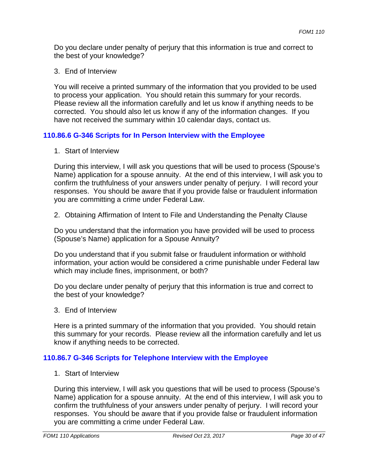Do you declare under penalty of perjury that this information is true and correct to the best of your knowledge?

3. End of Interview

You will receive a printed summary of the information that you provided to be used to process your application. You should retain this summary for your records. Please review all the information carefully and let us know if anything needs to be corrected. You should also let us know if any of the information changes. If you have not received the summary within 10 calendar days, contact us.

## **110.86.6 G-346 Scripts for In Person Interview with the Employee**

1. Start of Interview

During this interview, I will ask you questions that will be used to process (Spouse's Name) application for a spouse annuity. At the end of this interview, I will ask you to confirm the truthfulness of your answers under penalty of perjury. I will record your responses. You should be aware that if you provide false or fraudulent information you are committing a crime under Federal Law.

2. Obtaining Affirmation of Intent to File and Understanding the Penalty Clause

Do you understand that the information you have provided will be used to process (Spouse's Name) application for a Spouse Annuity?

Do you understand that if you submit false or fraudulent information or withhold information, your action would be considered a crime punishable under Federal law which may include fines, imprisonment, or both?

Do you declare under penalty of perjury that this information is true and correct to the best of your knowledge?

3. End of Interview

Here is a printed summary of the information that you provided. You should retain this summary for your records. Please review all the information carefully and let us know if anything needs to be corrected.

## **110.86.7 G-346 Scripts for Telephone Interview with the Employee**

1. Start of Interview

During this interview, I will ask you questions that will be used to process (Spouse's Name) application for a spouse annuity. At the end of this interview, I will ask you to confirm the truthfulness of your answers under penalty of perjury. I will record your responses. You should be aware that if you provide false or fraudulent information you are committing a crime under Federal Law.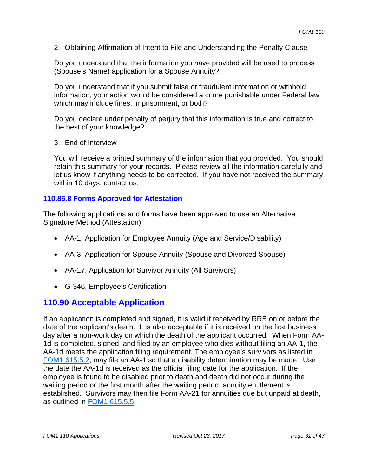2. Obtaining Affirmation of Intent to File and Understanding the Penalty Clause

Do you understand that the information you have provided will be used to process (Spouse's Name) application for a Spouse Annuity?

Do you understand that if you submit false or fraudulent information or withhold information, your action would be considered a crime punishable under Federal law which may include fines, imprisonment, or both?

Do you declare under penalty of perjury that this information is true and correct to the best of your knowledge?

3. End of Interview

You will receive a printed summary of the information that you provided. You should retain this summary for your records. Please review all the information carefully and let us know if anything needs to be corrected. If you have not received the summary within 10 days, contact us.

## **110.86.8 Forms Approved for Attestation**

The following applications and forms have been approved to use an Alternative Signature Method (Attestation)

- AA-1, Application for Employee Annuity (Age and Service/Disability)
- AA-3, Application for Spouse Annuity (Spouse and Divorced Spouse)
- AA-17, Application for Survivor Annuity (All Survivors)
- G-346, Employee's Certification

# **110.90 Acceptable Application**

If an application is completed and signed, it is valid if received by RRB on or before the date of the applicant's death. It is also acceptable if it is received on the first business day after a non-work day on which the death of the applicant occurred. When Form AA-1d is completed, signed, and filed by an employee who dies without filing an AA-1, the AA-1d meets the application filing requirement. The employee's survivors as listed in FOM1 615.5.2, may file an AA-1 so that a disability determination may be made. Use the date the AA-1d is received as the official filing date for the application. If the employee is found to be disabled prior to death and death did not occur during the waiting period or the first month after the waiting period, annuity entitlement is established. Survivors may then file Form AA-21 for annuities due but unpaid at death, as outlined in FOM1 615.5.5.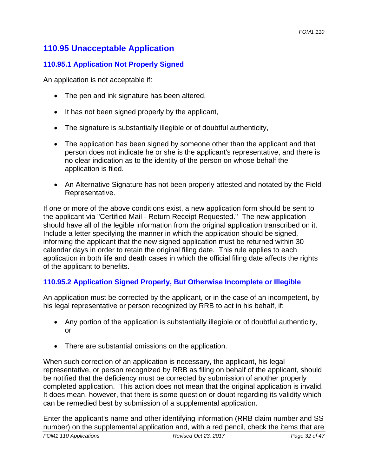## **110.95 Unacceptable Application**

## **110.95.1 Application Not Properly Signed**

An application is not acceptable if:

- The pen and ink signature has been altered,
- It has not been signed properly by the applicant,
- The signature is substantially illegible or of doubtful authenticity,
- The application has been signed by someone other than the applicant and that person does not indicate he or she is the applicant's representative, and there is no clear indication as to the identity of the person on whose behalf the application is filed.
- An Alternative Signature has not been properly attested and notated by the Field Representative.

If one or more of the above conditions exist, a new application form should be sent to the applicant via "Certified Mail - Return Receipt Requested." The new application should have all of the legible information from the original application transcribed on it. Include a letter specifying the manner in which the application should be signed, informing the applicant that the new signed application must be returned within 30 calendar days in order to retain the original filing date. This rule applies to each application in both life and death cases in which the official filing date affects the rights of the applicant to benefits.

## **110.95.2 Application Signed Properly, But Otherwise Incomplete or Illegible**

An application must be corrected by the applicant, or in the case of an incompetent, by his legal representative or person recognized by RRB to act in his behalf, if:

- Any portion of the application is substantially illegible or of doubtful authenticity, or
- There are substantial omissions on the application.

When such correction of an application is necessary, the applicant, his legal representative, or person recognized by RRB as filing on behalf of the applicant, should be notified that the deficiency must be corrected by submission of another properly completed application. This action does not mean that the original application is invalid. It does mean, however, that there is some question or doubt regarding its validity which can be remedied best by submission of a supplemental application.

 *FOM1 110 Applications Revised Oct 23, 2017 Page 32 of 47* Enter the applicant's name and other identifying information (RRB claim number and SS number) on the supplemental application and, with a red pencil, check the items that are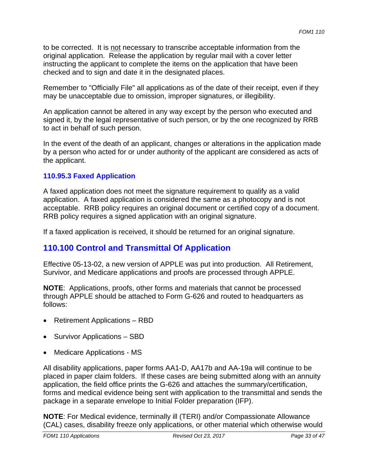to be corrected. It is not necessary to transcribe acceptable information from the original application. Release the application by regular mail with a cover letter instructing the applicant to complete the items on the application that have been checked and to sign and date it in the designated places.

Remember to "Officially File" all applications as of the date of their receipt, even if they may be unacceptable due to omission, improper signatures, or illegibility.

An application cannot be altered in any way except by the person who executed and signed it, by the legal representative of such person, or by the one recognized by RRB to act in behalf of such person.

In the event of the death of an applicant, changes or alterations in the application made by a person who acted for or under authority of the applicant are considered as acts of the applicant.

## **110.95.3 Faxed Application**

A faxed application does not meet the signature requirement to qualify as a valid application. A faxed application is considered the same as a photocopy and is not acceptable. RRB policy requires an original document or certified copy of a document. RRB policy requires a signed application with an original signature.

If a faxed application is received, it should be returned for an original signature.

## **110.100 Control and Transmittal Of Application**

Effective 05-13-02, a new version of APPLE was put into production. All Retirement, Survivor, and Medicare applications and proofs are processed through APPLE.

**NOTE**: Applications, proofs, other forms and materials that cannot be processed through APPLE should be attached to Form G-626 and routed to headquarters as follows:

- Retirement Applications RBD
- Survivor Applications SBD
- Medicare Applications MS

All disability applications, paper forms AA1-D, AA17b and AA-19a will continue to be placed in paper claim folders. If these cases are being submitted along with an annuity application, the field office prints the G-626 and attaches the summary/certification, forms and medical evidence being sent with application to the transmittal and sends the package in a separate envelope to Initial Folder preparation (IFP).

**NOTE**: For Medical evidence, terminally ill (TERI) and/or Compassionate Allowance (CAL) cases, disability freeze only applications, or other material which otherwise would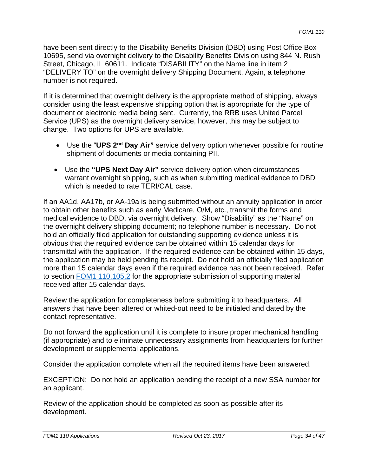have been sent directly to the Disability Benefits Division (DBD) using Post Office Box 10695, send via overnight delivery to the Disability Benefits Division using 844 N. Rush Street, Chicago, IL 60611. Indicate "DISABILITY" on the Name line in item 2 "DELIVERY TO" on the overnight delivery Shipping Document. Again, a telephone number is not required.

 change. Two options for UPS are available. If it is determined that overnight delivery is the appropriate method of shipping, always consider using the least expensive shipping option that is appropriate for the type of document or electronic media being sent. Currently, the RRB uses United Parcel Service (UPS) as the overnight delivery service, however, this may be subject to

- Use the "**UPS 2nd Day Air"** service delivery option whenever possible for routine shipment of documents or media containing PII.
- Use the **"UPS Next Day Air"** service delivery option when circumstances warrant overnight shipping, such as when submitting medical evidence to DBD which is needed to rate TERI/CAL case.

If an AA1d, AA17b, or AA-19a is being submitted without an annuity application in order to obtain other benefits such as early Medicare, O/M, etc., transmit the forms and medical evidence to DBD, via overnight delivery. Show "Disability" as the "Name" on the overnight delivery shipping document; no telephone number is necessary. Do not hold an officially filed application for outstanding supporting evidence unless it is obvious that the required evidence can be obtained within 15 calendar days for transmittal with the application. If the required evidence can be obtained within 15 days, the application may be held pending its receipt. Do not hold an officially filed application more than 15 calendar days even if the required evidence has not been received. Refer to section FOM1 110.105.2 for the appropriate submission of supporting material received after 15 calendar days.

Review the application for completeness before submitting it to headquarters. All answers that have been altered or whited-out need to be initialed and dated by the contact representative.

Do not forward the application until it is complete to insure proper mechanical handling (if appropriate) and to eliminate unnecessary assignments from headquarters for further development or supplemental applications.

Consider the application complete when all the required items have been answered.

EXCEPTION: Do not hold an application pending the receipt of a new SSA number for an applicant.

Review of the application should be completed as soon as possible after its development.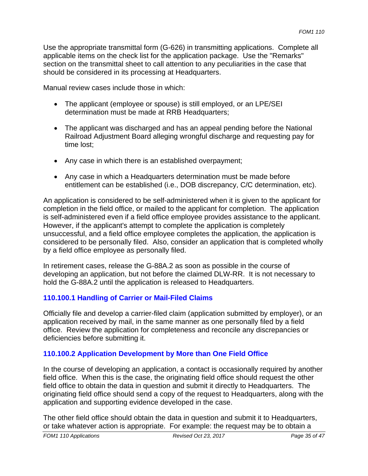Use the appropriate transmittal form (G-626) in transmitting applications. Complete all applicable items on the check list for the application package. Use the "Remarks" section on the transmittal sheet to call attention to any peculiarities in the case that should be considered in its processing at Headquarters.

Manual review cases include those in which:

- The applicant (employee or spouse) is still employed, or an LPE/SEI determination must be made at RRB Headquarters;
- The applicant was discharged and has an appeal pending before the National Railroad Adjustment Board alleging wrongful discharge and requesting pay for time lost;
- Any case in which there is an established overpayment;
- Any case in which a Headquarters determination must be made before entitlement can be established (i.e., DOB discrepancy, C/C determination, etc).

An application is considered to be self-administered when it is given to the applicant for completion in the field office, or mailed to the applicant for completion. The application is self-administered even if a field office employee provides assistance to the applicant. However, if the applicant's attempt to complete the application is completely unsuccessful, and a field office employee completes the application, the application is considered to be personally filed. Also, consider an application that is completed wholly by a field office employee as personally filed.

In retirement cases, release the G-88A.2 as soon as possible in the course of developing an application, but not before the claimed DLW-RR. It is not necessary to hold the G-88A.2 until the application is released to Headquarters.

## **110.100.1 Handling of Carrier or Mail-Filed Claims**

Officially file and develop a carrier-filed claim (application submitted by employer), or an application received by mail, in the same manner as one personally filed by a field office. Review the application for completeness and reconcile any discrepancies or deficiencies before submitting it.

## **110.100.2 Application Development by More than One Field Office**

In the course of developing an application, a contact is occasionally required by another field office. When this is the case, the originating field office should request the other field office to obtain the data in question and submit it directly to Headquarters. The originating field office should send a copy of the request to Headquarters, along with the application and supporting evidence developed in the case.

The other field office should obtain the data in question and submit it to Headquarters, or take whatever action is appropriate. For example: the request may be to obtain a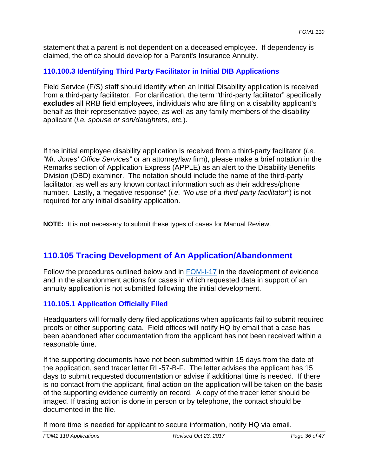statement that a parent is not dependent on a deceased employee. If dependency is claimed, the office should develop for a Parent's Insurance Annuity.

## **110.100.3 Identifying Third Party Facilitator in Initial DIB Applications**

Field Service (F/S) staff should identify when an Initial Disability application is received from a third-party facilitator. For clarification, the term "third-party facilitator" specifically **excludes** all RRB field employees, individuals who are filing on a disability applicant's behalf as their representative payee, as well as any family members of the disability applicant (*i.e. spouse or son/daughters, etc.*).

If the initial employee disability application is received from a third-party facilitator (*i.e. "Mr. Jones' Office Services"* or an attorney/law firm), please make a brief notation in the Remarks section of Application Express (APPLE) as an alert to the Disability Benefits Division (DBD) examiner. The notation should include the name of the third-party facilitator, as well as any known contact information such as their address/phone number. Lastly, a "negative response" (*i.e. "No use of a third-party facilitator"*) is not required for any initial disability application.

**NOTE:** It is **not** necessary to submit these types of cases for Manual Review.

# **110.105 Tracing Development of An Application/Abandonment**

Follow the procedures outlined below and in FOM-I-17 in the development of evidence and in the abandonment actions for cases in which requested data in support of an annuity application is not submitted following the initial development.

## **110.105.1 Application Officially Filed**

Headquarters will formally deny filed applications when applicants fail to submit required proofs or other supporting data. Field offices will notify HQ by email that a case has been abandoned after documentation from the applicant has not been received within a reasonable time.

If the supporting documents have not been submitted within 15 days from the date of the application, send tracer letter RL-57-B-F. The letter advises the applicant has 15 days to submit requested documentation or advise if additional time is needed. If there is no contact from the applicant, final action on the application will be taken on the basis of the supporting evidence currently on record. A copy of the tracer letter should be imaged. If tracing action is done in person or by telephone, the contact should be documented in the file.

If more time is needed for applicant to secure information, notify HQ via email.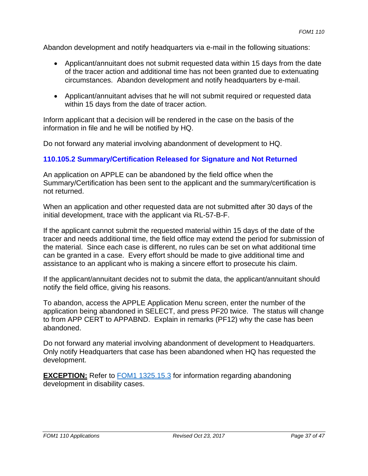Abandon development and notify headquarters via e-mail in the following situations:

- Applicant/annuitant does not submit requested data within 15 days from the date of the tracer action and additional time has not been granted due to extenuating circumstances. Abandon development and notify headquarters by e-mail.
- Applicant/annuitant advises that he will not submit required or requested data within 15 days from the date of tracer action.

Inform applicant that a decision will be rendered in the case on the basis of the information in file and he will be notified by HQ.

Do not forward any material involving abandonment of development to HQ.

#### **110.105.2 Summary/Certification Released for Signature and Not Returned**

An application on APPLE can be abandoned by the field office when the Summary/Certification has been sent to the applicant and the summary/certification is not returned.

When an application and other requested data are not submitted after 30 days of the initial development, trace with the applicant via RL-57-B-F.

If the applicant cannot submit the requested material within 15 days of the date of the tracer and needs additional time, the field office may extend the period for submission of the material. Since each case is different, no rules can be set on what additional time can be granted in a case. Every effort should be made to give additional time and assistance to an applicant who is making a sincere effort to prosecute his claim.

If the applicant/annuitant decides not to submit the data, the applicant/annuitant should notify the field office, giving his reasons.

To abandon, access the APPLE Application Menu screen, enter the number of the application being abandoned in SELECT, and press PF20 twice. The status will change to from APP CERT to APPABND. Explain in remarks (PF12) why the case has been abandoned.

Do not forward any material involving abandonment of development to Headquarters. Only notify Headquarters that case has been abandoned when HQ has requested the development.

**EXCEPTION:** Refer to FOM1 1325.15.3 for information regarding abandoning development in disability cases.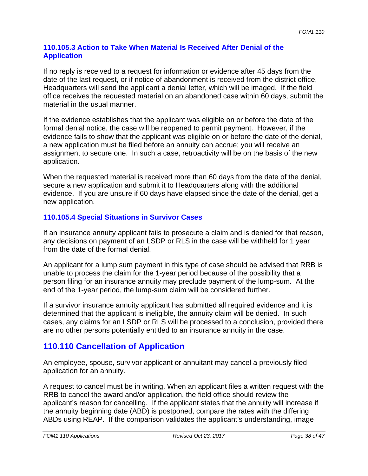#### **110.105.3 Action to Take When Material Is Received After Denial of the Application**

If no reply is received to a request for information or evidence after 45 days from the date of the last request, or if notice of abandonment is received from the district office, Headquarters will send the applicant a denial letter, which will be imaged. If the field office receives the requested material on an abandoned case within 60 days, submit the material in the usual manner.

If the evidence establishes that the applicant was eligible on or before the date of the formal denial notice, the case will be reopened to permit payment. However, if the evidence fails to show that the applicant was eligible on or before the date of the denial, a new application must be filed before an annuity can accrue; you will receive an assignment to secure one. In such a case, retroactivity will be on the basis of the new application.

When the requested material is received more than 60 days from the date of the denial, secure a new application and submit it to Headquarters along with the additional evidence. If you are unsure if 60 days have elapsed since the date of the denial, get a new application.

## **110.105.4 Special Situations in Survivor Cases**

If an insurance annuity applicant fails to prosecute a claim and is denied for that reason, any decisions on payment of an LSDP or RLS in the case will be withheld for 1 year from the date of the formal denial.

An applicant for a lump sum payment in this type of case should be advised that RRB is unable to process the claim for the 1-year period because of the possibility that a person filing for an insurance annuity may preclude payment of the lump-sum. At the end of the 1-year period, the lump-sum claim will be considered further.

If a survivor insurance annuity applicant has submitted all required evidence and it is determined that the applicant is ineligible, the annuity claim will be denied. In such cases, any claims for an LSDP or RLS will be processed to a conclusion, provided there are no other persons potentially entitled to an insurance annuity in the case.

## **110.110 Cancellation of Application**

An employee, spouse, survivor applicant or annuitant may cancel a previously filed application for an annuity.

A request to cancel must be in writing. When an applicant files a written request with the RRB to cancel the award and/or application, the field office should review the applicant's reason for cancelling. If the applicant states that the annuity will increase if the annuity beginning date (ABD) is postponed, compare the rates with the differing ABDs using REAP. If the comparison validates the applicant's understanding, image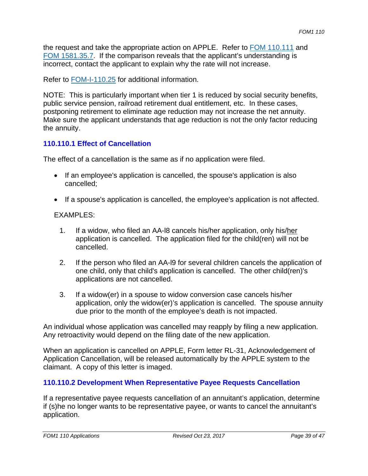the request and take the appropriate action on APPLE. Refer to FOM 110.111 and FOM 1581.35.7. If the comparison reveals that the applicant's understanding is incorrect, contact the applicant to explain why the rate will not increase.

Refer to FOM-I-110.25 for additional information.

NOTE: This is particularly important when tier 1 is reduced by social security benefits, public service pension, railroad retirement dual entitlement, etc. In these cases, postponing retirement to eliminate age reduction may not increase the net annuity. Make sure the applicant understands that age reduction is not the only factor reducing the annuity.

#### **110.110.1 Effect of Cancellation**

The effect of a cancellation is the same as if no application were filed.

- If an employee's application is cancelled, the spouse's application is also cancelled;
- If a spouse's application is cancelled, the employee's application is not affected.

#### EXAMPLES:

- 1. If a widow, who filed an AA-I8 cancels his/her application, only his/her application is cancelled. The application filed for the child(ren) will not be cancelled.
- 2. If the person who filed an AA-l9 for several children cancels the application of one child, only that child's application is cancelled. The other child(ren)'s applications are not cancelled.
- 3. If a widow(er) in a spouse to widow conversion case cancels his/her application, only the widow(er)'s application is cancelled. The spouse annuity due prior to the month of the employee's death is not impacted.

An individual whose application was cancelled may reapply by filing a new application. Any retroactivity would depend on the filing date of the new application.

When an application is cancelled on APPLE, Form letter RL-31, Acknowledgement of Application Cancellation, will be released automatically by the APPLE system to the claimant. A copy of this letter is imaged.

## **110.110.2 Development When Representative Payee Requests Cancellation**

 application. If a representative payee requests cancellation of an annuitant's application, determine if (s)he no longer wants to be representative payee, or wants to cancel the annuitant's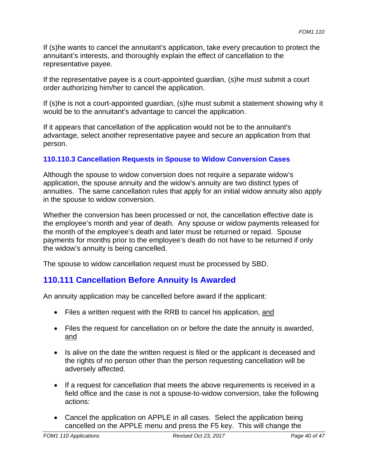If (s)he wants to cancel the annuitant's application, take every precaution to protect the annuitant's interests, and thoroughly explain the effect of cancellation to the representative payee.

If the representative payee is a court-appointed guardian, (s)he must submit a court order authorizing him/her to cancel the application.

If (s)he is not a court-appointed guardian, (s)he must submit a statement showing why it would be to the annuitant's advantage to cancel the application.

If it appears that cancellation of the application would not be to the annuitant's advantage, select another representative payee and secure an application from that person.

## **110.110.3 Cancellation Requests in Spouse to Widow Conversion Cases**

Although the spouse to widow conversion does not require a separate widow's application, the spouse annuity and the widow's annuity are two distinct types of annuities. The same cancellation rules that apply for an initial widow annuity also apply in the spouse to widow conversion.

Whether the conversion has been processed or not, the cancellation effective date is the employee's month and year of death. Any spouse or widow payments released for the month of the employee's death and later must be returned or repaid. Spouse payments for months prior to the employee's death do not have to be returned if only the widow's annuity is being cancelled.

The spouse to widow cancellation request must be processed by SBD.

# **110.111 Cancellation Before Annuity Is Awarded**

An annuity application may be cancelled before award if the applicant:

- Files a written request with the RRB to cancel his application, and
- Files the request for cancellation on or before the date the annuity is awarded, and
- Is alive on the date the written request is filed or the applicant is deceased and the rights of no person other than the person requesting cancellation will be adversely affected.
- If a request for cancellation that meets the above requirements is received in a field office and the case is not a spouse-to-widow conversion, take the following actions:
- Cancel the application on APPLE in all cases. Select the application being cancelled on the APPLE menu and press the F5 key. This will change the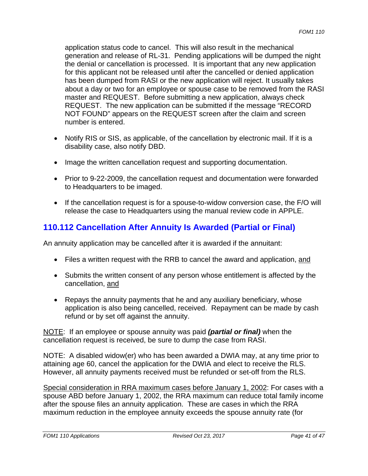application status code to cancel. This will also result in the mechanical generation and release of RL-31. Pending applications will be dumped the night the denial or cancellation is processed. It is important that any new application for this applicant not be released until after the cancelled or denied application has been dumped from RASI or the new application will reject. It usually takes about a day or two for an employee or spouse case to be removed from the RASI master and REQUEST. Before submitting a new application, always check REQUEST. The new application can be submitted if the message "RECORD NOT FOUND" appears on the REQUEST screen after the claim and screen number is entered.

- Notify RIS or SIS, as applicable, of the cancellation by electronic mail. If it is a disability case, also notify DBD.
- Image the written cancellation request and supporting documentation.
- Prior to 9-22-2009, the cancellation request and documentation were forwarded to Headquarters to be imaged.
- If the cancellation request is for a spouse-to-widow conversion case, the F/O will release the case to Headquarters using the manual review code in APPLE.

# **110.112 Cancellation After Annuity Is Awarded (Partial or Final)**

An annuity application may be cancelled after it is awarded if the annuitant:

- Files a written request with the RRB to cancel the award and application, and
- Submits the written consent of any person whose entitlement is affected by the cancellation, and
- Repays the annuity payments that he and any auxiliary beneficiary, whose application is also being cancelled, received. Repayment can be made by cash refund or by set off against the annuity.

NOTE: If an employee or spouse annuity was paid *(partial or final)* when the cancellation request is received, be sure to dump the case from RASI.

NOTE: A disabled widow(er) who has been awarded a DWIA may, at any time prior to attaining age 60, cancel the application for the DWIA and elect to receive the RLS. However, all annuity payments received must be refunded or set-off from the RLS.

Special consideration in RRA maximum cases before January 1, 2002: For cases with a spouse ABD before January 1, 2002, the RRA maximum can reduce total family income after the spouse files an annuity application. These are cases in which the RRA maximum reduction in the employee annuity exceeds the spouse annuity rate (for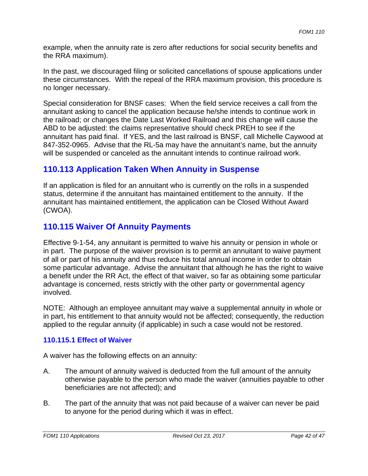example, when the annuity rate is zero after reductions for social security benefits and the RRA maximum).

In the past, we discouraged filing or solicited cancellations of spouse applications under these circumstances. With the repeal of the RRA maximum provision, this procedure is no longer necessary.

Special consideration for BNSF cases: When the field service receives a call from the annuitant asking to cancel the application because he/she intends to continue work in the railroad; or changes the Date Last Worked Railroad and this change will cause the ABD to be adjusted: the claims representative should check PREH to see if the annuitant has paid final. If YES, and the last railroad is BNSF, call Michelle Caywood at 847-352-0965. Advise that the RL-5a may have the annuitant's name, but the annuity will be suspended or canceled as the annuitant intends to continue railroad work.

## **110.113 Application Taken When Annuity in Suspense**

If an application is filed for an annuitant who is currently on the rolls in a suspended status, determine if the annuitant has maintained entitlement to the annuity. If the annuitant has maintained entitlement, the application can be Closed Without Award (CWOA).

## **110.115 Waiver Of Annuity Payments**

Effective 9-1-54, any annuitant is permitted to waive his annuity or pension in whole or in part. The purpose of the waiver provision is to permit an annuitant to waive payment of all or part of his annuity and thus reduce his total annual income in order to obtain some particular advantage. Advise the annuitant that although he has the right to waive a benefit under the RR Act, the effect of that waiver, so far as obtaining some particular advantage is concerned, rests strictly with the other party or governmental agency involved.

NOTE: Although an employee annuitant may waive a supplemental annuity in whole or in part, his entitlement to that annuity would not be affected; consequently, the reduction applied to the regular annuity (if applicable) in such a case would not be restored.

## **110.115.1 Effect of Waiver**

A waiver has the following effects on an annuity:

- A. The amount of annuity waived is deducted from the full amount of the annuity otherwise payable to the person who made the waiver (annuities payable to other beneficiaries are not affected); and
- B. The part of the annuity that was not paid because of a waiver can never be paid to anyone for the period during which it was in effect.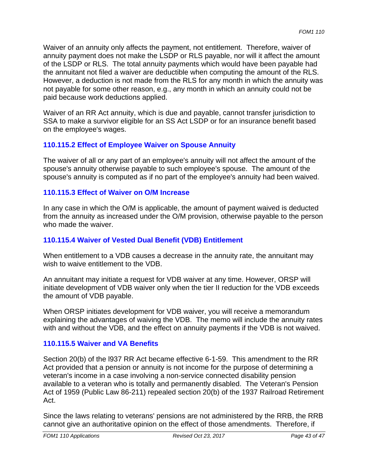Waiver of an annuity only affects the payment, not entitlement. Therefore, waiver of annuity payment does not make the LSDP or RLS payable, nor will it affect the amount of the LSDP or RLS. The total annuity payments which would have been payable had the annuitant not filed a waiver are deductible when computing the amount of the RLS. However, a deduction is not made from the RLS for any month in which the annuity was not payable for some other reason, e.g., any month in which an annuity could not be paid because work deductions applied.

Waiver of an RR Act annuity, which is due and payable, cannot transfer jurisdiction to SSA to make a survivor eligible for an SS Act LSDP or for an insurance benefit based on the employee's wages.

## **110.115.2 Effect of Employee Waiver on Spouse Annuity**

The waiver of all or any part of an employee's annuity will not affect the amount of the spouse's annuity otherwise payable to such employee's spouse. The amount of the spouse's annuity is computed as if no part of the employee's annuity had been waived.

#### **110.115.3 Effect of Waiver on O/M Increase**

In any case in which the O/M is applicable, the amount of payment waived is deducted from the annuity as increased under the O/M provision, otherwise payable to the person who made the waiver.

## **110.115.4 Waiver of Vested Dual Benefit (VDB) Entitlement**

When entitlement to a VDB causes a decrease in the annuity rate, the annuitant may wish to waive entitlement to the VDB.

An annuitant may initiate a request for VDB waiver at any time. However, ORSP will initiate development of VDB waiver only when the tier II reduction for the VDB exceeds the amount of VDB payable.

When ORSP initiates development for VDB waiver, you will receive a memorandum explaining the advantages of waiving the VDB. The memo will include the annuity rates with and without the VDB, and the effect on annuity payments if the VDB is not waived.

## **110.115.5 Waiver and VA Benefits**

Section 20(b) of the l937 RR Act became effective 6-1-59. This amendment to the RR Act provided that a pension or annuity is not income for the purpose of determining a veteran's income in a case involving a non-service connected disability pension available to a veteran who is totally and permanently disabled. The Veteran's Pension Act of 1959 (Public Law 86-211) repealed section 20(b) of the 1937 Railroad Retirement Act.

Since the laws relating to veterans' pensions are not administered by the RRB, the RRB cannot give an authoritative opinion on the effect of those amendments. Therefore, if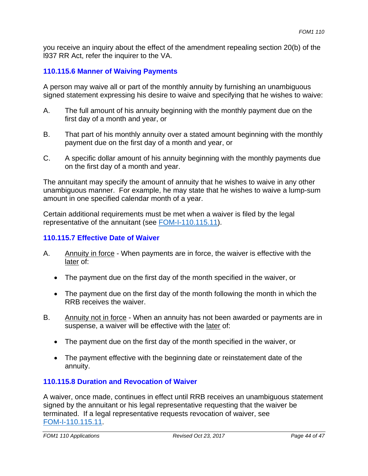you receive an inquiry about the effect of the amendment repealing section 20(b) of the l937 RR Act, refer the inquirer to the VA.

## **110.115.6 Manner of Waiving Payments**

A person may waive all or part of the monthly annuity by furnishing an unambiguous signed statement expressing his desire to waive and specifying that he wishes to waive:

- A. The full amount of his annuity beginning with the monthly payment due on the first day of a month and year, or
- B. That part of his monthly annuity over a stated amount beginning with the monthly payment due on the first day of a month and year, or
- C. A specific dollar amount of his annuity beginning with the monthly payments due on the first day of a month and year.

The annuitant may specify the amount of annuity that he wishes to waive in any other unambiguous manner. For example, he may state that he wishes to waive a lump-sum amount in one specified calendar month of a year.

Certain additional requirements must be met when a waiver is filed by the legal representative of the annuitant (see FOM-I-110.115.11).

### **110.115.7 Effective Date of Waiver**

- A. Annuity in force When payments are in force, the waiver is effective with the later of:
	- The payment due on the first day of the month specified in the waiver, or
	- The payment due on the first day of the month following the month in which the RRB receives the waiver.
- B. Annuity not in force When an annuity has not been awarded or payments are in suspense, a waiver will be effective with the later of:
	- The payment due on the first day of the month specified in the waiver, or
	- The payment effective with the beginning date or reinstatement date of the annuity.

## **110.115.8 Duration and Revocation of Waiver**

A waiver, once made, continues in effect until RRB receives an unambiguous statement signed by the annuitant or his legal representative requesting that the waiver be terminated. If a legal representative requests revocation of waiver, see FOM-I-110.115.11.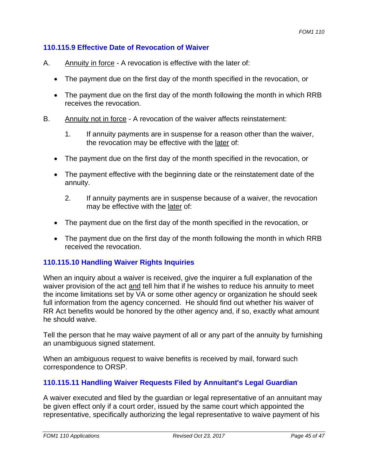#### **110.115.9 Effective Date of Revocation of Waiver**

- A. Annuity in force A revocation is effective with the later of:
	- The payment due on the first day of the month specified in the revocation, or
	- The payment due on the first day of the month following the month in which RRB receives the revocation.
- B. Annuity not in force A revocation of the waiver affects reinstatement:
	- 1. If annuity payments are in suspense for a reason other than the waiver, the revocation may be effective with the later of:
	- The payment due on the first day of the month specified in the revocation, or
	- The payment effective with the beginning date or the reinstatement date of the annuity.
		- 2. If annuity payments are in suspense because of a waiver, the revocation may be effective with the later of:
	- The payment due on the first day of the month specified in the revocation, or
	- The payment due on the first day of the month following the month in which RRB received the revocation.

## **110.115.10 Handling Waiver Rights Inquiries**

When an inquiry about a waiver is received, give the inquirer a full explanation of the waiver provision of the act and tell him that if he wishes to reduce his annuity to meet the income limitations set by VA or some other agency or organization he should seek full information from the agency concerned. He should find out whether his waiver of RR Act benefits would be honored by the other agency and, if so, exactly what amount he should waive.

Tell the person that he may waive payment of all or any part of the annuity by furnishing an unambiguous signed statement.

When an ambiguous request to waive benefits is received by mail, forward such correspondence to ORSP.

## **110.115.11 Handling Waiver Requests Filed by Annuitant's Legal Guardian**

A waiver executed and filed by the guardian or legal representative of an annuitant may be given effect only if a court order, issued by the same court which appointed the representative, specifically authorizing the legal representative to waive payment of his